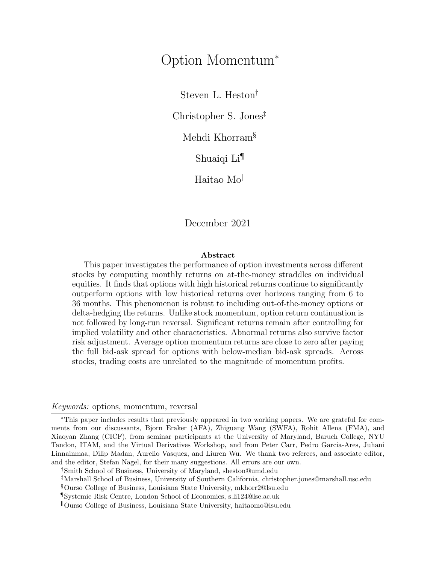# Option Momentum\*

Steven L. Heston

Christopher S. Jones

Mehdi Khorram§

Shuaiqi Li

Haitao Mo

December 2021

## Abstract

This paper investigates the performance of option investments across different stocks by computing monthly returns on at-the-money straddles on individual equities. It finds that options with high historical returns continue to significantly outperform options with low historical returns over horizons ranging from 6 to 36 months. This phenomenon is robust to including out-of-the-money options or delta-hedging the returns. Unlike stock momentum, option return continuation is not followed by long-run reversal. Significant returns remain after controlling for implied volatility and other characteristics. Abnormal returns also survive factor risk adjustment. Average option momentum returns are close to zero after paying the full bid-ask spread for options with below-median bid-ask spreads. Across stocks, trading costs are unrelated to the magnitude of momentum profits.

## Keywords: options, momentum, reversal

\*This paper includes results that previously appeared in two working papers. We are grateful for comments from our discussants, Bjorn Eraker (AFA), Zhiguang Wang (SWFA), Rohit Allena (FMA), and Xiaoyan Zhang (CICF), from seminar participants at the University of Maryland, Baruch College, NYU Tandon, ITAM, and the Virtual Derivatives Workshop, and from Peter Carr, Pedro Garcia-Ares, Juhani Linnainmaa, Dilip Madan, Aurelio Vasquez, and Liuren Wu. We thank two referees, and associate editor, and the editor, Stefan Nagel, for their many suggestions. All errors are our own.

Smith School of Business, University of Maryland, sheston@umd.edu

Marshall School of Business, University of Southern California, christopher.jones@marshall.usc.edu

§Ourso College of Business, Louisiana State University, mkhorr2@lsu.edu

¶Systemic Risk Centre, London School of Economics, s.li124@lse.ac.uk

Ourso College of Business, Louisiana State University, haitaomo@lsu.edu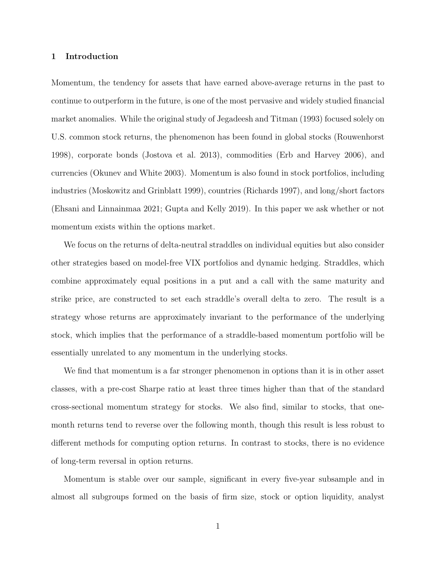# 1 Introduction

Momentum, the tendency for assets that have earned above-average returns in the past to continue to outperform in the future, is one of the most pervasive and widely studied financial market anomalies. While the original study of Jegadeesh and Titman (1993) focused solely on U.S. common stock returns, the phenomenon has been found in global stocks (Rouwenhorst 1998), corporate bonds (Jostova et al. 2013), commodities (Erb and Harvey 2006), and currencies (Okunev and White 2003). Momentum is also found in stock portfolios, including industries (Moskowitz and Grinblatt 1999), countries (Richards 1997), and long/short factors (Ehsani and Linnainmaa 2021; Gupta and Kelly 2019). In this paper we ask whether or not momentum exists within the options market.

We focus on the returns of delta-neutral straddles on individual equities but also consider other strategies based on model-free VIX portfolios and dynamic hedging. Straddles, which combine approximately equal positions in a put and a call with the same maturity and strike price, are constructed to set each straddle's overall delta to zero. The result is a strategy whose returns are approximately invariant to the performance of the underlying stock, which implies that the performance of a straddle-based momentum portfolio will be essentially unrelated to any momentum in the underlying stocks.

We find that momentum is a far stronger phenomenon in options than it is in other asset classes, with a pre-cost Sharpe ratio at least three times higher than that of the standard cross-sectional momentum strategy for stocks. We also find, similar to stocks, that onemonth returns tend to reverse over the following month, though this result is less robust to different methods for computing option returns. In contrast to stocks, there is no evidence of long-term reversal in option returns.

Momentum is stable over our sample, significant in every five-year subsample and in almost all subgroups formed on the basis of firm size, stock or option liquidity, analyst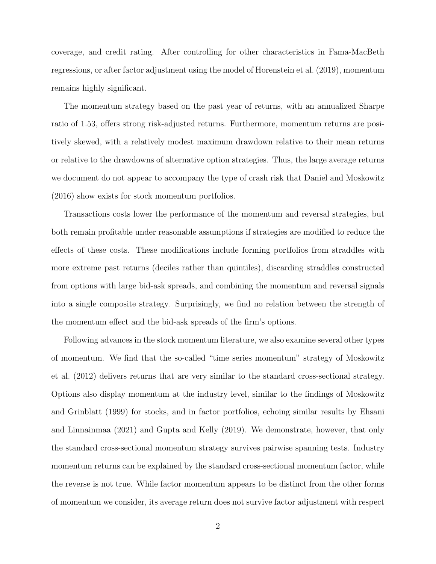coverage, and credit rating. After controlling for other characteristics in Fama-MacBeth regressions, or after factor adjustment using the model of Horenstein et al. (2019), momentum remains highly significant.

The momentum strategy based on the past year of returns, with an annualized Sharpe ratio of 1.53, offers strong risk-adjusted returns. Furthermore, momentum returns are positively skewed, with a relatively modest maximum drawdown relative to their mean returns or relative to the drawdowns of alternative option strategies. Thus, the large average returns we document do not appear to accompany the type of crash risk that Daniel and Moskowitz (2016) show exists for stock momentum portfolios.

Transactions costs lower the performance of the momentum and reversal strategies, but both remain profitable under reasonable assumptions if strategies are modified to reduce the effects of these costs. These modifications include forming portfolios from straddles with more extreme past returns (deciles rather than quintiles), discarding straddles constructed from options with large bid-ask spreads, and combining the momentum and reversal signals into a single composite strategy. Surprisingly, we find no relation between the strength of the momentum effect and the bid-ask spreads of the firm's options.

Following advances in the stock momentum literature, we also examine several other types of momentum. We find that the so-called "time series momentum" strategy of Moskowitz et al. (2012) delivers returns that are very similar to the standard cross-sectional strategy. Options also display momentum at the industry level, similar to the findings of Moskowitz and Grinblatt (1999) for stocks, and in factor portfolios, echoing similar results by Ehsani and Linnainmaa (2021) and Gupta and Kelly (2019). We demonstrate, however, that only the standard cross-sectional momentum strategy survives pairwise spanning tests. Industry momentum returns can be explained by the standard cross-sectional momentum factor, while the reverse is not true. While factor momentum appears to be distinct from the other forms of momentum we consider, its average return does not survive factor adjustment with respect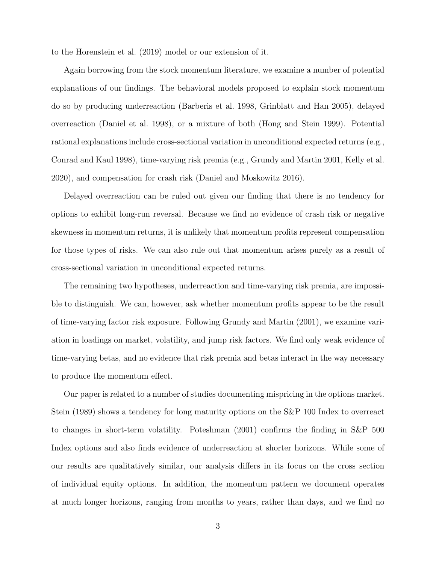to the Horenstein et al. (2019) model or our extension of it.

Again borrowing from the stock momentum literature, we examine a number of potential explanations of our findings. The behavioral models proposed to explain stock momentum do so by producing underreaction (Barberis et al. 1998, Grinblatt and Han 2005), delayed overreaction (Daniel et al. 1998), or a mixture of both (Hong and Stein 1999). Potential rational explanations include cross-sectional variation in unconditional expected returns (e.g., Conrad and Kaul 1998), time-varying risk premia (e.g., Grundy and Martin 2001, Kelly et al. 2020), and compensation for crash risk (Daniel and Moskowitz 2016).

Delayed overreaction can be ruled out given our finding that there is no tendency for options to exhibit long-run reversal. Because we find no evidence of crash risk or negative skewness in momentum returns, it is unlikely that momentum profits represent compensation for those types of risks. We can also rule out that momentum arises purely as a result of cross-sectional variation in unconditional expected returns.

The remaining two hypotheses, underreaction and time-varying risk premia, are impossible to distinguish. We can, however, ask whether momentum profits appear to be the result of time-varying factor risk exposure. Following Grundy and Martin (2001), we examine variation in loadings on market, volatility, and jump risk factors. We find only weak evidence of time-varying betas, and no evidence that risk premia and betas interact in the way necessary to produce the momentum effect.

Our paper is related to a number of studies documenting mispricing in the options market. Stein (1989) shows a tendency for long maturity options on the S&P 100 Index to overreact to changes in short-term volatility. Poteshman (2001) confirms the finding in S&P 500 Index options and also finds evidence of underreaction at shorter horizons. While some of our results are qualitatively similar, our analysis differs in its focus on the cross section of individual equity options. In addition, the momentum pattern we document operates at much longer horizons, ranging from months to years, rather than days, and we find no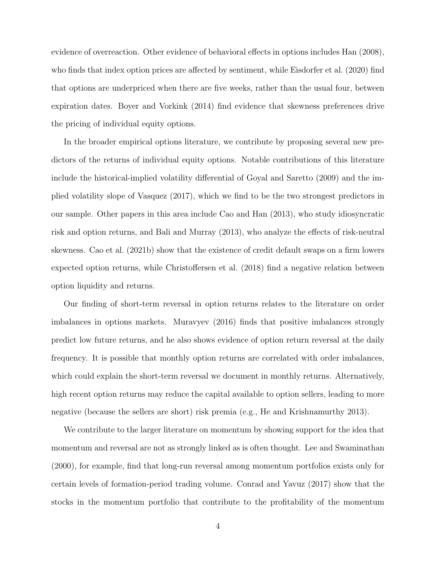evidence of overreaction. Other evidence of behavioral effects in options includes Han (2008), who finds that index option prices are affected by sentiment, while Eisdorfer et al. (2020) find that options are underpriced when there are five weeks, rather than the usual four, between expiration dates. Boyer and Vorkink (2014) find evidence that skewness preferences drive the pricing of individual equity options.

In the broader empirical options literature, we contribute by proposing several new predictors of the returns of individual equity options. Notable contributions of this literature include the historical-implied volatility differential of Goyal and Saretto (2009) and the implied volatility slope of Vasquez (2017), which we find to be the two strongest predictors in our sample. Other papers in this area include Cao and Han (2013), who study idiosyncratic risk and option returns, and Bali and Murray (2013), who analyze the effects of risk-neutral skewness. Cao et al. (2021b) show that the existence of credit default swaps on a firm lowers expected option returns, while Christoffersen et al. (2018) find a negative relation between option liquidity and returns.

Our finding of short-term reversal in option returns relates to the literature on order imbalances in options markets. Muravyev (2016) finds that positive imbalances strongly predict low future returns, and he also shows evidence of option return reversal at the daily frequency. It is possible that monthly option returns are correlated with order imbalances, which could explain the short-term reversal we document in monthly returns. Alternatively, high recent option returns may reduce the capital available to option sellers, leading to more negative (because the sellers are short) risk premia (e.g., He and Krishnamurthy 2013).

We contribute to the larger literature on momentum by showing support for the idea that momentum and reversal are not as strongly linked as is often thought. Lee and Swaminathan (2000), for example, find that long-run reversal among momentum portfolios exists only for certain levels of formation-period trading volume. Conrad and Yavuz (2017) show that the stocks in the momentum portfolio that contribute to the profitability of the momentum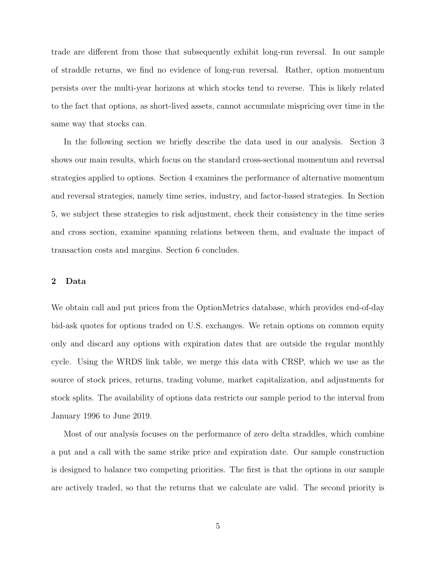trade are different from those that subsequently exhibit long-run reversal. In our sample of straddle returns, we find no evidence of long-run reversal. Rather, option momentum persists over the multi-year horizons at which stocks tend to reverse. This is likely related to the fact that options, as short-lived assets, cannot accumulate mispricing over time in the same way that stocks can.

In the following section we briefly describe the data used in our analysis. Section 3 shows our main results, which focus on the standard cross-sectional momentum and reversal strategies applied to options. Section 4 examines the performance of alternative momentum and reversal strategies, namely time series, industry, and factor-based strategies. In Section 5, we subject these strategies to risk adjustment, check their consistency in the time series and cross section, examine spanning relations between them, and evaluate the impact of transaction costs and margins. Section 6 concludes.

# 2 Data

We obtain call and put prices from the OptionMetrics database, which provides end-of-day bid-ask quotes for options traded on U.S. exchanges. We retain options on common equity only and discard any options with expiration dates that are outside the regular monthly cycle. Using the WRDS link table, we merge this data with CRSP, which we use as the source of stock prices, returns, trading volume, market capitalization, and adjustments for stock splits. The availability of options data restricts our sample period to the interval from January 1996 to June 2019.

Most of our analysis focuses on the performance of zero delta straddles, which combine a put and a call with the same strike price and expiration date. Our sample construction is designed to balance two competing priorities. The first is that the options in our sample are actively traded, so that the returns that we calculate are valid. The second priority is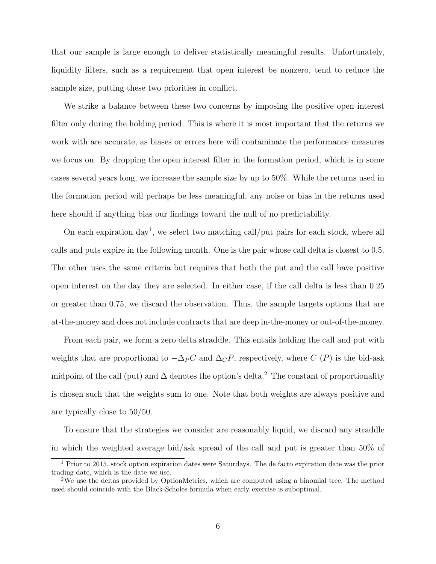that our sample is large enough to deliver statistically meaningful results. Unfortunately, liquidity filters, such as a requirement that open interest be nonzero, tend to reduce the sample size, putting these two priorities in conflict.

We strike a balance between these two concerns by imposing the positive open interest filter only during the holding period. This is where it is most important that the returns we work with are accurate, as biases or errors here will contaminate the performance measures we focus on. By dropping the open interest filter in the formation period, which is in some cases several years long, we increase the sample size by up to 50%. While the returns used in the formation period will perhaps be less meaningful, any noise or bias in the returns used here should if anything bias our findings toward the null of no predictability.

On each expiration  $day^1$ , we select two matching call/put pairs for each stock, where all calls and puts expire in the following month. One is the pair whose call delta is closest to 0.5. The other uses the same criteria but requires that both the put and the call have positive open interest on the day they are selected. In either case, if the call delta is less than 0.25 or greater than 0.75, we discard the observation. Thus, the sample targets options that are at-the-money and does not include contracts that are deep in-the-money or out-of-the-money.

From each pair, we form a zero delta straddle. This entails holding the call and put with weights that are proportional to  $-\Delta_P C$  and  $\Delta_C P$ , respectively, where C (P) is the bid-ask midpoint of the call (put) and  $\Delta$  denotes the option's delta.<sup>2</sup> The constant of proportionality is chosen such that the weights sum to one. Note that both weights are always positive and are typically close to 50/50.

To ensure that the strategies we consider are reasonably liquid, we discard any straddle in which the weighted average bid/ask spread of the call and put is greater than 50% of

<sup>&</sup>lt;sup>1</sup> Prior to 2015, stock option expiration dates were Saturdays. The de facto expiration date was the prior trading date, which is the date we use.

<sup>2</sup>We use the deltas provided by OptionMetrics, which are computed using a binomial tree. The method used should coincide with the Black-Scholes formula when early exercise is suboptimal.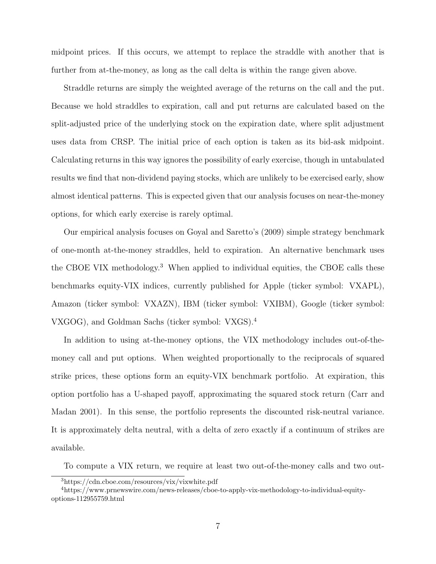midpoint prices. If this occurs, we attempt to replace the straddle with another that is further from at-the-money, as long as the call delta is within the range given above.

Straddle returns are simply the weighted average of the returns on the call and the put. Because we hold straddles to expiration, call and put returns are calculated based on the split-adjusted price of the underlying stock on the expiration date, where split adjustment uses data from CRSP. The initial price of each option is taken as its bid-ask midpoint. Calculating returns in this way ignores the possibility of early exercise, though in untabulated results we find that non-dividend paying stocks, which are unlikely to be exercised early, show almost identical patterns. This is expected given that our analysis focuses on near-the-money options, for which early exercise is rarely optimal.

Our empirical analysis focuses on Goyal and Saretto's (2009) simple strategy benchmark of one-month at-the-money straddles, held to expiration. An alternative benchmark uses the CBOE VIX methodology.<sup>3</sup> When applied to individual equities, the CBOE calls these benchmarks equity-VIX indices, currently published for Apple (ticker symbol: VXAPL), Amazon (ticker symbol: VXAZN), IBM (ticker symbol: VXIBM), Google (ticker symbol: VXGOG), and Goldman Sachs (ticker symbol: VXGS).<sup>4</sup>

In addition to using at-the-money options, the VIX methodology includes out-of-themoney call and put options. When weighted proportionally to the reciprocals of squared strike prices, these options form an equity-VIX benchmark portfolio. At expiration, this option portfolio has a U-shaped payoff, approximating the squared stock return (Carr and Madan 2001). In this sense, the portfolio represents the discounted risk-neutral variance. It is approximately delta neutral, with a delta of zero exactly if a continuum of strikes are available.

To compute a VIX return, we require at least two out-of-the-money calls and two out-

<sup>3</sup>https://cdn.cboe.com/resources/vix/vixwhite.pdf

<sup>4</sup>https://www.prnewswire.com/news-releases/cboe-to-apply-vix-methodology-to-individual-equityoptions-112955759.html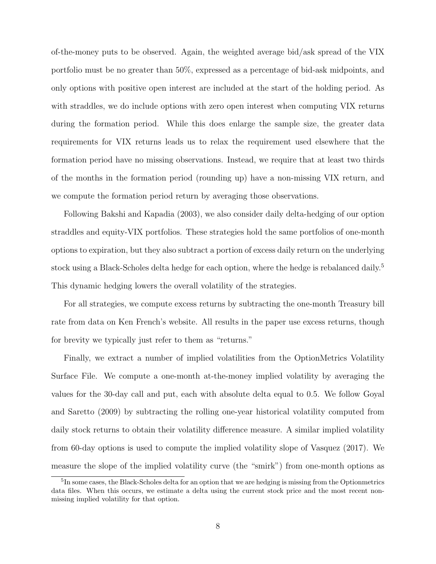of-the-money puts to be observed. Again, the weighted average bid/ask spread of the VIX portfolio must be no greater than 50%, expressed as a percentage of bid-ask midpoints, and only options with positive open interest are included at the start of the holding period. As with straddles, we do include options with zero open interest when computing VIX returns during the formation period. While this does enlarge the sample size, the greater data requirements for VIX returns leads us to relax the requirement used elsewhere that the formation period have no missing observations. Instead, we require that at least two thirds of the months in the formation period (rounding up) have a non-missing VIX return, and we compute the formation period return by averaging those observations.

Following Bakshi and Kapadia (2003), we also consider daily delta-hedging of our option straddles and equity-VIX portfolios. These strategies hold the same portfolios of one-month options to expiration, but they also subtract a portion of excess daily return on the underlying stock using a Black-Scholes delta hedge for each option, where the hedge is rebalanced daily.<sup>5</sup> This dynamic hedging lowers the overall volatility of the strategies.

For all strategies, we compute excess returns by subtracting the one-month Treasury bill rate from data on Ken French's website. All results in the paper use excess returns, though for brevity we typically just refer to them as "returns."

Finally, we extract a number of implied volatilities from the OptionMetrics Volatility Surface File. We compute a one-month at-the-money implied volatility by averaging the values for the 30-day call and put, each with absolute delta equal to 0.5. We follow Goyal and Saretto (2009) by subtracting the rolling one-year historical volatility computed from daily stock returns to obtain their volatility difference measure. A similar implied volatility from 60-day options is used to compute the implied volatility slope of Vasquez (2017). We measure the slope of the implied volatility curve (the "smirk") from one-month options as

<sup>&</sup>lt;sup>5</sup>In some cases, the Black-Scholes delta for an option that we are hedging is missing from the Optionmetrics data files. When this occurs, we estimate a delta using the current stock price and the most recent nonmissing implied volatility for that option.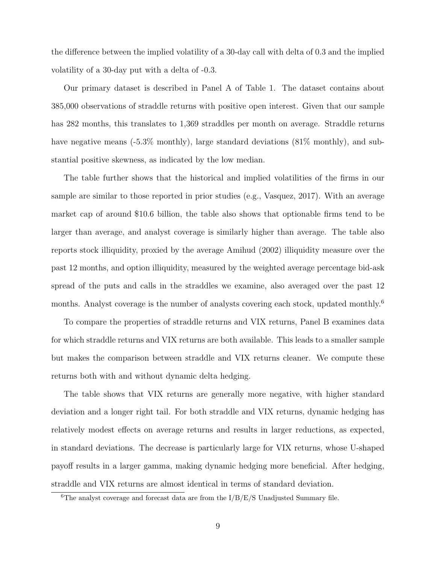the difference between the implied volatility of a 30-day call with delta of 0.3 and the implied volatility of a 30-day put with a delta of -0.3.

Our primary dataset is described in Panel A of Table 1. The dataset contains about 385,000 observations of straddle returns with positive open interest. Given that our sample has 282 months, this translates to 1,369 straddles per month on average. Straddle returns have negative means  $(-5.3\%$  monthly), large standard deviations  $(81\%$  monthly), and substantial positive skewness, as indicated by the low median.

The table further shows that the historical and implied volatilities of the firms in our sample are similar to those reported in prior studies (e.g., Vasquez, 2017). With an average market cap of around \$10.6 billion, the table also shows that optionable firms tend to be larger than average, and analyst coverage is similarly higher than average. The table also reports stock illiquidity, proxied by the average Amihud (2002) illiquidity measure over the past 12 months, and option illiquidity, measured by the weighted average percentage bid-ask spread of the puts and calls in the straddles we examine, also averaged over the past 12 months. Analyst coverage is the number of analysts covering each stock, updated monthly.<sup>6</sup>

To compare the properties of straddle returns and VIX returns, Panel B examines data for which straddle returns and VIX returns are both available. This leads to a smaller sample but makes the comparison between straddle and VIX returns cleaner. We compute these returns both with and without dynamic delta hedging.

The table shows that VIX returns are generally more negative, with higher standard deviation and a longer right tail. For both straddle and VIX returns, dynamic hedging has relatively modest effects on average returns and results in larger reductions, as expected, in standard deviations. The decrease is particularly large for VIX returns, whose U-shaped payoff results in a larger gamma, making dynamic hedging more beneficial. After hedging, straddle and VIX returns are almost identical in terms of standard deviation.

<sup>&</sup>lt;sup>6</sup>The analyst coverage and forecast data are from the  $I/B/E/S$  Unadjusted Summary file.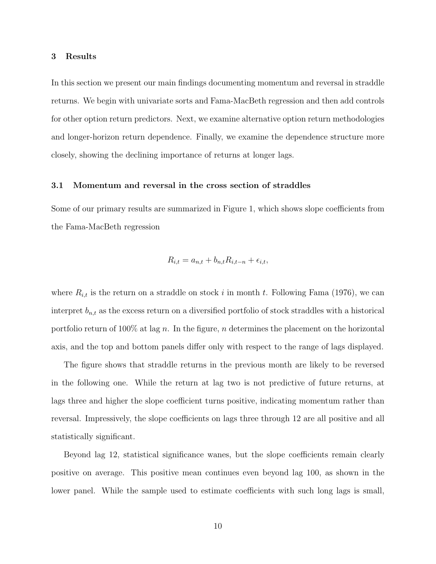## 3 Results

In this section we present our main findings documenting momentum and reversal in straddle returns. We begin with univariate sorts and Fama-MacBeth regression and then add controls for other option return predictors. Next, we examine alternative option return methodologies and longer-horizon return dependence. Finally, we examine the dependence structure more closely, showing the declining importance of returns at longer lags.

## 3.1 Momentum and reversal in the cross section of straddles

Some of our primary results are summarized in Figure 1, which shows slope coefficients from the Fama-MacBeth regression

$$
R_{i,t} = a_{n,t} + b_{n,t} R_{i,t-n} + \epsilon_{i,t},
$$

where  $R_{i,t}$  is the return on a straddle on stock i in month t. Following Fama (1976), we can interpret  $b_{n,t}$  as the excess return on a diversified portfolio of stock straddles with a historical portfolio return of 100% at lag n. In the figure, n determines the placement on the horizontal axis, and the top and bottom panels differ only with respect to the range of lags displayed.

The figure shows that straddle returns in the previous month are likely to be reversed in the following one. While the return at lag two is not predictive of future returns, at lags three and higher the slope coefficient turns positive, indicating momentum rather than reversal. Impressively, the slope coefficients on lags three through 12 are all positive and all statistically significant.

Beyond lag 12, statistical significance wanes, but the slope coefficients remain clearly positive on average. This positive mean continues even beyond lag 100, as shown in the lower panel. While the sample used to estimate coefficients with such long lags is small,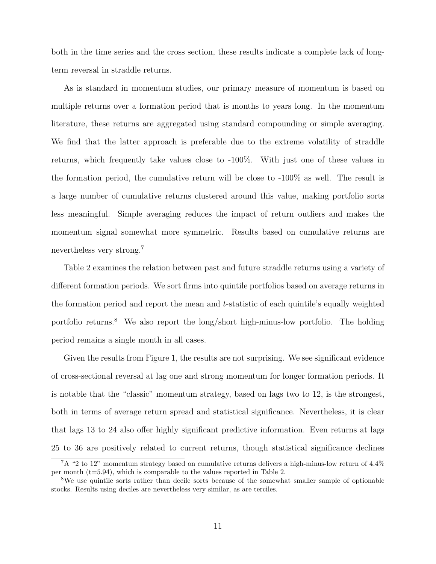both in the time series and the cross section, these results indicate a complete lack of longterm reversal in straddle returns.

As is standard in momentum studies, our primary measure of momentum is based on multiple returns over a formation period that is months to years long. In the momentum literature, these returns are aggregated using standard compounding or simple averaging. We find that the latter approach is preferable due to the extreme volatility of straddle returns, which frequently take values close to -100%. With just one of these values in the formation period, the cumulative return will be close to -100% as well. The result is a large number of cumulative returns clustered around this value, making portfolio sorts less meaningful. Simple averaging reduces the impact of return outliers and makes the momentum signal somewhat more symmetric. Results based on cumulative returns are nevertheless very strong.<sup>7</sup>

Table 2 examines the relation between past and future straddle returns using a variety of different formation periods. We sort firms into quintile portfolios based on average returns in the formation period and report the mean and  $t$ -statistic of each quintile's equally weighted portfolio returns.<sup>8</sup> We also report the long/short high-minus-low portfolio. The holding period remains a single month in all cases.

Given the results from Figure 1, the results are not surprising. We see significant evidence of cross-sectional reversal at lag one and strong momentum for longer formation periods. It is notable that the "classic" momentum strategy, based on lags two to 12, is the strongest, both in terms of average return spread and statistical significance. Nevertheless, it is clear that lags 13 to 24 also offer highly significant predictive information. Even returns at lags 25 to 36 are positively related to current returns, though statistical significance declines

 $7A$  "2 to 12" momentum strategy based on cumulative returns delivers a high-minus-low return of 4.4% per month  $(t=5.94)$ , which is comparable to the values reported in Table 2.

<sup>&</sup>lt;sup>8</sup>We use quintile sorts rather than decile sorts because of the somewhat smaller sample of optionable stocks. Results using deciles are nevertheless very similar, as are terciles.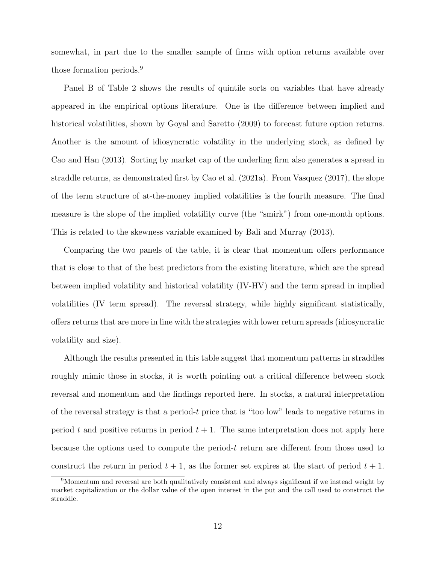somewhat, in part due to the smaller sample of firms with option returns available over those formation periods.<sup>9</sup>

Panel B of Table 2 shows the results of quintile sorts on variables that have already appeared in the empirical options literature. One is the difference between implied and historical volatilities, shown by Goyal and Saretto (2009) to forecast future option returns. Another is the amount of idiosyncratic volatility in the underlying stock, as defined by Cao and Han (2013). Sorting by market cap of the underling firm also generates a spread in straddle returns, as demonstrated first by Cao et al. (2021a). From Vasquez (2017), the slope of the term structure of at-the-money implied volatilities is the fourth measure. The final measure is the slope of the implied volatility curve (the "smirk") from one-month options. This is related to the skewness variable examined by Bali and Murray (2013).

Comparing the two panels of the table, it is clear that momentum offers performance that is close to that of the best predictors from the existing literature, which are the spread between implied volatility and historical volatility (IV-HV) and the term spread in implied volatilities (IV term spread). The reversal strategy, while highly significant statistically, offers returns that are more in line with the strategies with lower return spreads (idiosyncratic volatility and size).

Although the results presented in this table suggest that momentum patterns in straddles roughly mimic those in stocks, it is worth pointing out a critical difference between stock reversal and momentum and the findings reported here. In stocks, a natural interpretation of the reversal strategy is that a period-t price that is "too low" leads to negative returns in period t and positive returns in period  $t + 1$ . The same interpretation does not apply here because the options used to compute the period-t return are different from those used to construct the return in period  $t + 1$ , as the former set expires at the start of period  $t + 1$ .

<sup>9</sup>Momentum and reversal are both qualitatively consistent and always significant if we instead weight by market capitalization or the dollar value of the open interest in the put and the call used to construct the straddle.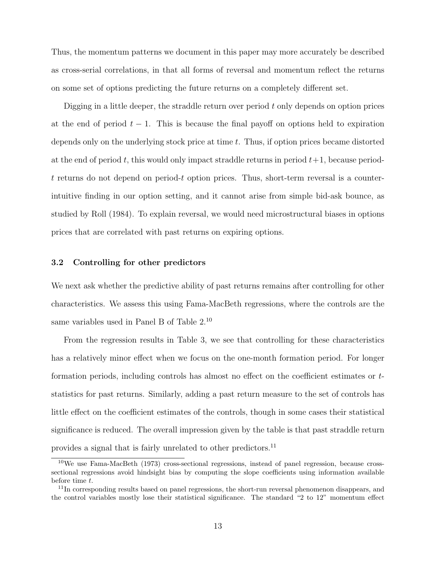Thus, the momentum patterns we document in this paper may more accurately be described as cross-serial correlations, in that all forms of reversal and momentum reflect the returns on some set of options predicting the future returns on a completely different set.

Digging in a little deeper, the straddle return over period  $t$  only depends on option prices at the end of period  $t - 1$ . This is because the final payoff on options held to expiration depends only on the underlying stock price at time t. Thus, if option prices became distorted at the end of period t, this would only impact straddle returns in period  $t+1$ , because periodt returns do not depend on period-t option prices. Thus, short-term reversal is a counterintuitive finding in our option setting, and it cannot arise from simple bid-ask bounce, as studied by Roll (1984). To explain reversal, we would need microstructural biases in options prices that are correlated with past returns on expiring options.

# 3.2 Controlling for other predictors

We next ask whether the predictive ability of past returns remains after controlling for other characteristics. We assess this using Fama-MacBeth regressions, where the controls are the same variables used in Panel B of Table 2.<sup>10</sup>

From the regression results in Table 3, we see that controlling for these characteristics has a relatively minor effect when we focus on the one-month formation period. For longer formation periods, including controls has almost no effect on the coefficient estimates or tstatistics for past returns. Similarly, adding a past return measure to the set of controls has little effect on the coefficient estimates of the controls, though in some cases their statistical significance is reduced. The overall impression given by the table is that past straddle return provides a signal that is fairly unrelated to other predictors.<sup>11</sup>

<sup>10</sup>We use Fama-MacBeth (1973) cross-sectional regressions, instead of panel regression, because crosssectional regressions avoid hindsight bias by computing the slope coefficients using information available before time t.

 $11$ In corresponding results based on panel regressions, the short-run reversal phenomenon disappears, and the control variables mostly lose their statistical significance. The standard "2 to 12" momentum effect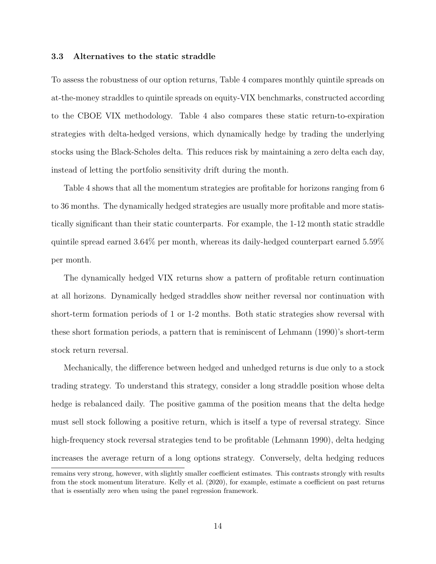# 3.3 Alternatives to the static straddle

To assess the robustness of our option returns, Table 4 compares monthly quintile spreads on at-the-money straddles to quintile spreads on equity-VIX benchmarks, constructed according to the CBOE VIX methodology. Table 4 also compares these static return-to-expiration strategies with delta-hedged versions, which dynamically hedge by trading the underlying stocks using the Black-Scholes delta. This reduces risk by maintaining a zero delta each day, instead of letting the portfolio sensitivity drift during the month.

Table 4 shows that all the momentum strategies are profitable for horizons ranging from 6 to 36 months. The dynamically hedged strategies are usually more profitable and more statistically significant than their static counterparts. For example, the 1-12 month static straddle quintile spread earned 3.64% per month, whereas its daily-hedged counterpart earned 5.59% per month.

The dynamically hedged VIX returns show a pattern of profitable return continuation at all horizons. Dynamically hedged straddles show neither reversal nor continuation with short-term formation periods of 1 or 1-2 months. Both static strategies show reversal with these short formation periods, a pattern that is reminiscent of Lehmann (1990)'s short-term stock return reversal.

Mechanically, the difference between hedged and unhedged returns is due only to a stock trading strategy. To understand this strategy, consider a long straddle position whose delta hedge is rebalanced daily. The positive gamma of the position means that the delta hedge must sell stock following a positive return, which is itself a type of reversal strategy. Since high-frequency stock reversal strategies tend to be profitable (Lehmann 1990), delta hedging increases the average return of a long options strategy. Conversely, delta hedging reduces remains very strong, however, with slightly smaller coefficient estimates. This contrasts strongly with results from the stock momentum literature. Kelly et al. (2020), for example, estimate a coefficient on past returns that is essentially zero when using the panel regression framework.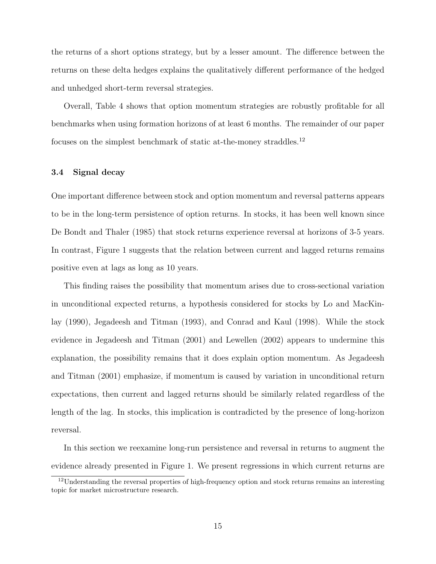the returns of a short options strategy, but by a lesser amount. The difference between the returns on these delta hedges explains the qualitatively different performance of the hedged and unhedged short-term reversal strategies.

Overall, Table 4 shows that option momentum strategies are robustly profitable for all benchmarks when using formation horizons of at least 6 months. The remainder of our paper focuses on the simplest benchmark of static at-the-money straddles.<sup>12</sup>

# 3.4 Signal decay

One important difference between stock and option momentum and reversal patterns appears to be in the long-term persistence of option returns. In stocks, it has been well known since De Bondt and Thaler (1985) that stock returns experience reversal at horizons of 3-5 years. In contrast, Figure 1 suggests that the relation between current and lagged returns remains positive even at lags as long as 10 years.

This finding raises the possibility that momentum arises due to cross-sectional variation in unconditional expected returns, a hypothesis considered for stocks by Lo and MacKinlay (1990), Jegadeesh and Titman (1993), and Conrad and Kaul (1998). While the stock evidence in Jegadeesh and Titman (2001) and Lewellen (2002) appears to undermine this explanation, the possibility remains that it does explain option momentum. As Jegadeesh and Titman (2001) emphasize, if momentum is caused by variation in unconditional return expectations, then current and lagged returns should be similarly related regardless of the length of the lag. In stocks, this implication is contradicted by the presence of long-horizon reversal.

In this section we reexamine long-run persistence and reversal in returns to augment the evidence already presented in Figure 1. We present regressions in which current returns are

<sup>&</sup>lt;sup>12</sup>Understanding the reversal properties of high-frequency option and stock returns remains an interesting topic for market microstructure research.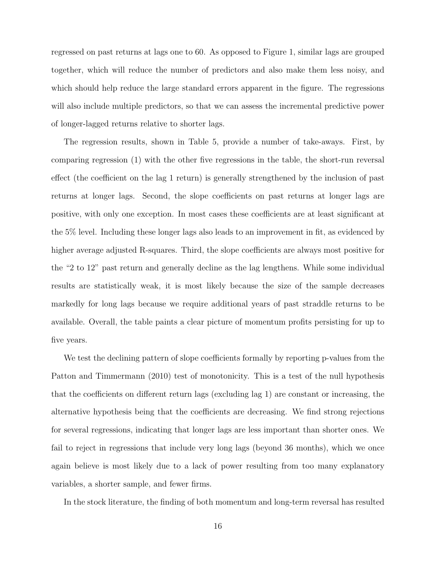regressed on past returns at lags one to 60. As opposed to Figure 1, similar lags are grouped together, which will reduce the number of predictors and also make them less noisy, and which should help reduce the large standard errors apparent in the figure. The regressions will also include multiple predictors, so that we can assess the incremental predictive power of longer-lagged returns relative to shorter lags.

The regression results, shown in Table 5, provide a number of take-aways. First, by comparing regression (1) with the other five regressions in the table, the short-run reversal effect (the coefficient on the lag 1 return) is generally strengthened by the inclusion of past returns at longer lags. Second, the slope coefficients on past returns at longer lags are positive, with only one exception. In most cases these coefficients are at least significant at the 5% level. Including these longer lags also leads to an improvement in fit, as evidenced by higher average adjusted R-squares. Third, the slope coefficients are always most positive for the "2 to 12" past return and generally decline as the lag lengthens. While some individual results are statistically weak, it is most likely because the size of the sample decreases markedly for long lags because we require additional years of past straddle returns to be available. Overall, the table paints a clear picture of momentum profits persisting for up to five years.

We test the declining pattern of slope coefficients formally by reporting p-values from the Patton and Timmermann (2010) test of monotonicity. This is a test of the null hypothesis that the coefficients on different return lags (excluding lag 1) are constant or increasing, the alternative hypothesis being that the coefficients are decreasing. We find strong rejections for several regressions, indicating that longer lags are less important than shorter ones. We fail to reject in regressions that include very long lags (beyond 36 months), which we once again believe is most likely due to a lack of power resulting from too many explanatory variables, a shorter sample, and fewer firms.

In the stock literature, the finding of both momentum and long-term reversal has resulted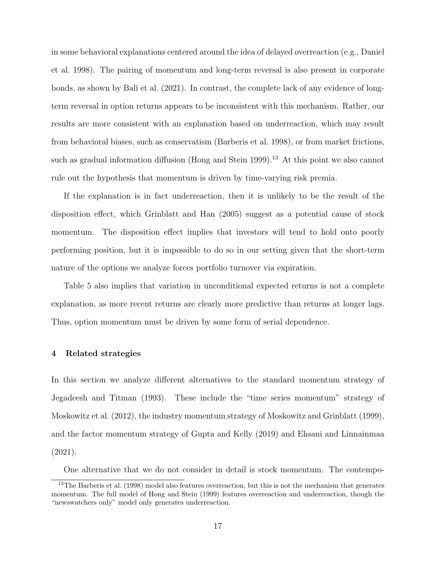in some behavioral explanations centered around the idea of delayed overreaction (e.g., Daniel et al. 1998). The pairing of momentum and long-term reversal is also present in corporate bonds, as shown by Bali et al. (2021). In contrast, the complete lack of any evidence of longterm reversal in option returns appears to be inconsistent with this mechanism. Rather, our results are more consistent with an explanation based on underreaction, which may result from behavioral biases, such as conservatism (Barberis et al. 1998), or from market frictions, such as gradual information diffusion (Hong and Stein 1999).<sup>13</sup> At this point we also cannot rule out the hypothesis that momentum is driven by time-varying risk premia.

If the explanation is in fact underreaction, then it is unlikely to be the result of the disposition effect, which Grinblatt and Han (2005) suggest as a potential cause of stock momentum. The disposition effect implies that investors will tend to hold onto poorly performing position, but it is impossible to do so in our setting given that the short-term nature of the options we analyze forces portfolio turnover via expiration.

Table 5 also implies that variation in unconditional expected returns is not a complete explanation, as more recent returns are clearly more predictive than returns at longer lags. Thus, option momentum must be driven by some form of serial dependence.

## 4 Related strategies

In this section we analyze different alternatives to the standard momentum strategy of Jegadeesh and Titman (1993). These include the "time series momentum" strategy of Moskowitz et al. (2012), the industry momentum strategy of Moskowitz and Grinblatt (1999), and the factor momentum strategy of Gupta and Kelly (2019) and Ehsani and Linnainmaa (2021).

One alternative that we do not consider in detail is stock momentum. The contempo-

<sup>&</sup>lt;sup>13</sup>The Barberis et al. (1998) model also features overreaction, but this is not the mechanism that generates momentum. The full model of Hong and Stein (1999) features overreaction and underreaction, though the "newswatchers only" model only generates underreaction.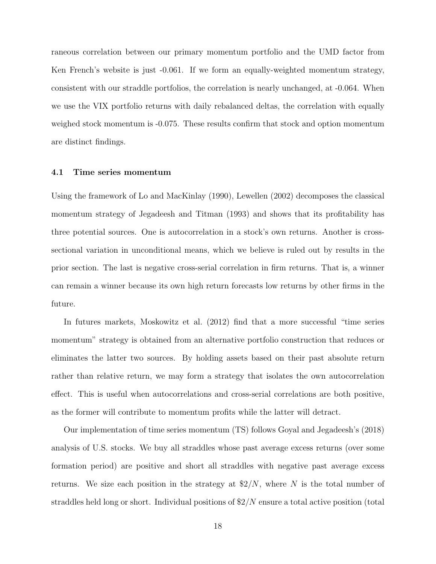raneous correlation between our primary momentum portfolio and the UMD factor from Ken French's website is just -0.061. If we form an equally-weighted momentum strategy, consistent with our straddle portfolios, the correlation is nearly unchanged, at -0.064. When we use the VIX portfolio returns with daily rebalanced deltas, the correlation with equally weighed stock momentum is -0.075. These results confirm that stock and option momentum are distinct findings.

## 4.1 Time series momentum

Using the framework of Lo and MacKinlay (1990), Lewellen (2002) decomposes the classical momentum strategy of Jegadeesh and Titman (1993) and shows that its profitability has three potential sources. One is autocorrelation in a stock's own returns. Another is crosssectional variation in unconditional means, which we believe is ruled out by results in the prior section. The last is negative cross-serial correlation in firm returns. That is, a winner can remain a winner because its own high return forecasts low returns by other firms in the future.

In futures markets, Moskowitz et al. (2012) find that a more successful "time series momentum" strategy is obtained from an alternative portfolio construction that reduces or eliminates the latter two sources. By holding assets based on their past absolute return rather than relative return, we may form a strategy that isolates the own autocorrelation effect. This is useful when autocorrelations and cross-serial correlations are both positive, as the former will contribute to momentum profits while the latter will detract.

Our implementation of time series momentum (TS) follows Goyal and Jegadeesh's (2018) analysis of U.S. stocks. We buy all straddles whose past average excess returns (over some formation period) are positive and short all straddles with negative past average excess returns. We size each position in the strategy at  $\frac{2}{N}$ , where N is the total number of straddles held long or short. Individual positions of \$2/N ensure a total active position (total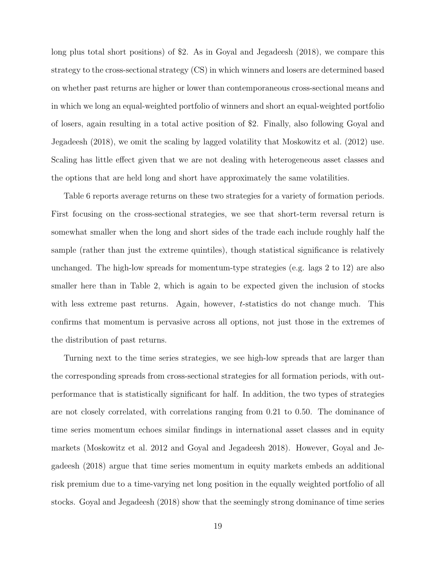long plus total short positions) of \$2. As in Goyal and Jegadeesh (2018), we compare this strategy to the cross-sectional strategy (CS) in which winners and losers are determined based on whether past returns are higher or lower than contemporaneous cross-sectional means and in which we long an equal-weighted portfolio of winners and short an equal-weighted portfolio of losers, again resulting in a total active position of \$2. Finally, also following Goyal and Jegadeesh (2018), we omit the scaling by lagged volatility that Moskowitz et al. (2012) use. Scaling has little effect given that we are not dealing with heterogeneous asset classes and the options that are held long and short have approximately the same volatilities.

Table 6 reports average returns on these two strategies for a variety of formation periods. First focusing on the cross-sectional strategies, we see that short-term reversal return is somewhat smaller when the long and short sides of the trade each include roughly half the sample (rather than just the extreme quintiles), though statistical significance is relatively unchanged. The high-low spreads for momentum-type strategies (e.g. lags 2 to 12) are also smaller here than in Table 2, which is again to be expected given the inclusion of stocks with less extreme past returns. Again, however, t-statistics do not change much. This confirms that momentum is pervasive across all options, not just those in the extremes of the distribution of past returns.

Turning next to the time series strategies, we see high-low spreads that are larger than the corresponding spreads from cross-sectional strategies for all formation periods, with outperformance that is statistically significant for half. In addition, the two types of strategies are not closely correlated, with correlations ranging from 0.21 to 0.50. The dominance of time series momentum echoes similar findings in international asset classes and in equity markets (Moskowitz et al. 2012 and Goyal and Jegadeesh 2018). However, Goyal and Jegadeesh (2018) argue that time series momentum in equity markets embeds an additional risk premium due to a time-varying net long position in the equally weighted portfolio of all stocks. Goyal and Jegadeesh (2018) show that the seemingly strong dominance of time series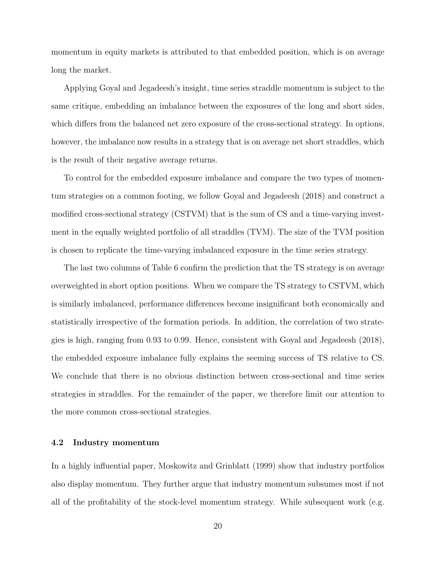momentum in equity markets is attributed to that embedded position, which is on average long the market.

Applying Goyal and Jegadeesh's insight, time series straddle momentum is subject to the same critique, embedding an imbalance between the exposures of the long and short sides, which differs from the balanced net zero exposure of the cross-sectional strategy. In options, however, the imbalance now results in a strategy that is on average net short straddles, which is the result of their negative average returns.

To control for the embedded exposure imbalance and compare the two types of momentum strategies on a common footing, we follow Goyal and Jegadeesh (2018) and construct a modified cross-sectional strategy (CSTVM) that is the sum of CS and a time-varying investment in the equally weighted portfolio of all straddles (TVM). The size of the TVM position is chosen to replicate the time-varying imbalanced exposure in the time series strategy.

The last two columns of Table 6 confirm the prediction that the TS strategy is on average overweighted in short option positions. When we compare the TS strategy to CSTVM, which is similarly imbalanced, performance differences become insignificant both economically and statistically irrespective of the formation periods. In addition, the correlation of two strategies is high, ranging from 0.93 to 0.99. Hence, consistent with Goyal and Jegadeesh (2018), the embedded exposure imbalance fully explains the seeming success of TS relative to CS. We conclude that there is no obvious distinction between cross-sectional and time series strategies in straddles. For the remainder of the paper, we therefore limit our attention to the more common cross-sectional strategies.

# 4.2 Industry momentum

In a highly influential paper, Moskowitz and Grinblatt (1999) show that industry portfolios also display momentum. They further argue that industry momentum subsumes most if not all of the profitability of the stock-level momentum strategy. While subsequent work (e.g.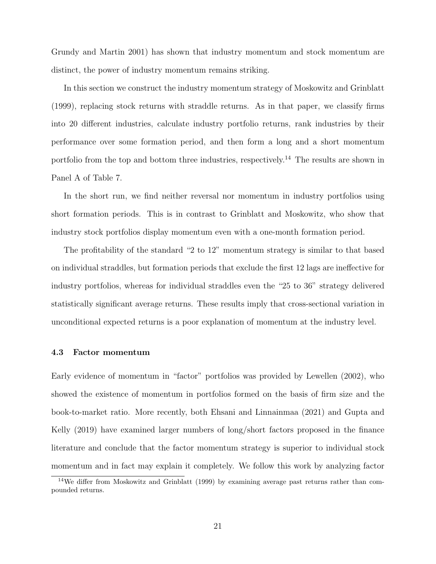Grundy and Martin 2001) has shown that industry momentum and stock momentum are distinct, the power of industry momentum remains striking.

In this section we construct the industry momentum strategy of Moskowitz and Grinblatt (1999), replacing stock returns with straddle returns. As in that paper, we classify firms into 20 different industries, calculate industry portfolio returns, rank industries by their performance over some formation period, and then form a long and a short momentum portfolio from the top and bottom three industries, respectively.<sup>14</sup> The results are shown in Panel A of Table 7.

In the short run, we find neither reversal nor momentum in industry portfolios using short formation periods. This is in contrast to Grinblatt and Moskowitz, who show that industry stock portfolios display momentum even with a one-month formation period.

The profitability of the standard "2 to 12" momentum strategy is similar to that based on individual straddles, but formation periods that exclude the first 12 lags are ineffective for industry portfolios, whereas for individual straddles even the "25 to 36" strategy delivered statistically significant average returns. These results imply that cross-sectional variation in unconditional expected returns is a poor explanation of momentum at the industry level.

# 4.3 Factor momentum

Early evidence of momentum in "factor" portfolios was provided by Lewellen (2002), who showed the existence of momentum in portfolios formed on the basis of firm size and the book-to-market ratio. More recently, both Ehsani and Linnainmaa (2021) and Gupta and Kelly (2019) have examined larger numbers of long/short factors proposed in the finance literature and conclude that the factor momentum strategy is superior to individual stock momentum and in fact may explain it completely. We follow this work by analyzing factor

<sup>&</sup>lt;sup>14</sup>We differ from Moskowitz and Grinblatt (1999) by examining average past returns rather than compounded returns.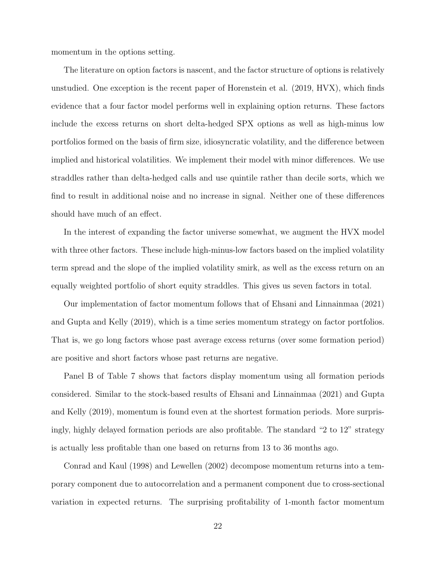momentum in the options setting.

The literature on option factors is nascent, and the factor structure of options is relatively unstudied. One exception is the recent paper of Horenstein et al. (2019, HVX), which finds evidence that a four factor model performs well in explaining option returns. These factors include the excess returns on short delta-hedged SPX options as well as high-minus low portfolios formed on the basis of firm size, idiosyncratic volatility, and the difference between implied and historical volatilities. We implement their model with minor differences. We use straddles rather than delta-hedged calls and use quintile rather than decile sorts, which we find to result in additional noise and no increase in signal. Neither one of these differences should have much of an effect.

In the interest of expanding the factor universe somewhat, we augment the HVX model with three other factors. These include high-minus-low factors based on the implied volatility term spread and the slope of the implied volatility smirk, as well as the excess return on an equally weighted portfolio of short equity straddles. This gives us seven factors in total.

Our implementation of factor momentum follows that of Ehsani and Linnainmaa (2021) and Gupta and Kelly (2019), which is a time series momentum strategy on factor portfolios. That is, we go long factors whose past average excess returns (over some formation period) are positive and short factors whose past returns are negative.

Panel B of Table 7 shows that factors display momentum using all formation periods considered. Similar to the stock-based results of Ehsani and Linnainmaa (2021) and Gupta and Kelly (2019), momentum is found even at the shortest formation periods. More surprisingly, highly delayed formation periods are also profitable. The standard "2 to 12" strategy is actually less profitable than one based on returns from 13 to 36 months ago.

Conrad and Kaul (1998) and Lewellen (2002) decompose momentum returns into a temporary component due to autocorrelation and a permanent component due to cross-sectional variation in expected returns. The surprising profitability of 1-month factor momentum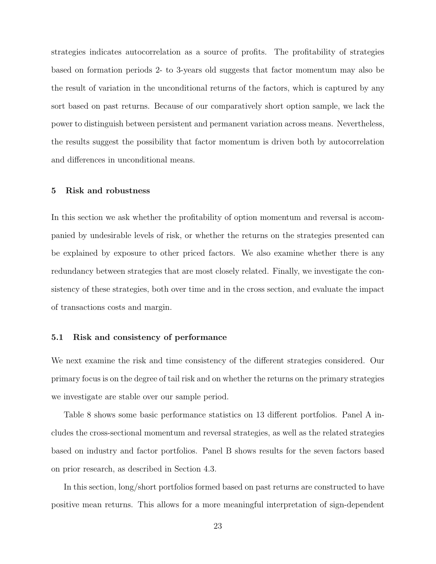strategies indicates autocorrelation as a source of profits. The profitability of strategies based on formation periods 2- to 3-years old suggests that factor momentum may also be the result of variation in the unconditional returns of the factors, which is captured by any sort based on past returns. Because of our comparatively short option sample, we lack the power to distinguish between persistent and permanent variation across means. Nevertheless, the results suggest the possibility that factor momentum is driven both by autocorrelation and differences in unconditional means.

# 5 Risk and robustness

In this section we ask whether the profitability of option momentum and reversal is accompanied by undesirable levels of risk, or whether the returns on the strategies presented can be explained by exposure to other priced factors. We also examine whether there is any redundancy between strategies that are most closely related. Finally, we investigate the consistency of these strategies, both over time and in the cross section, and evaluate the impact of transactions costs and margin.

# 5.1 Risk and consistency of performance

We next examine the risk and time consistency of the different strategies considered. Our primary focus is on the degree of tail risk and on whether the returns on the primary strategies we investigate are stable over our sample period.

Table 8 shows some basic performance statistics on 13 different portfolios. Panel A includes the cross-sectional momentum and reversal strategies, as well as the related strategies based on industry and factor portfolios. Panel B shows results for the seven factors based on prior research, as described in Section 4.3.

In this section, long/short portfolios formed based on past returns are constructed to have positive mean returns. This allows for a more meaningful interpretation of sign-dependent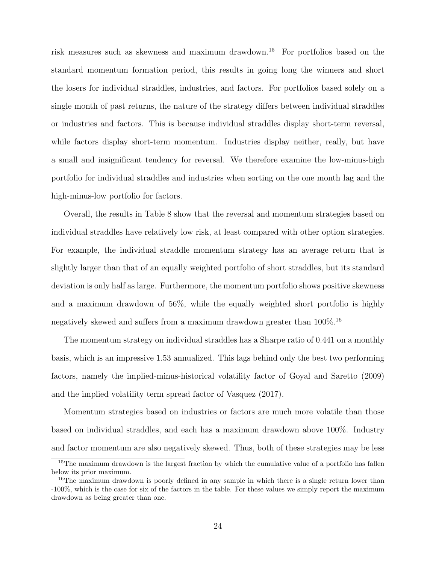risk measures such as skewness and maximum drawdown.<sup>15</sup> For portfolios based on the standard momentum formation period, this results in going long the winners and short the losers for individual straddles, industries, and factors. For portfolios based solely on a single month of past returns, the nature of the strategy differs between individual straddles or industries and factors. This is because individual straddles display short-term reversal, while factors display short-term momentum. Industries display neither, really, but have a small and insignificant tendency for reversal. We therefore examine the low-minus-high portfolio for individual straddles and industries when sorting on the one month lag and the high-minus-low portfolio for factors.

Overall, the results in Table 8 show that the reversal and momentum strategies based on individual straddles have relatively low risk, at least compared with other option strategies. For example, the individual straddle momentum strategy has an average return that is slightly larger than that of an equally weighted portfolio of short straddles, but its standard deviation is only half as large. Furthermore, the momentum portfolio shows positive skewness and a maximum drawdown of 56%, while the equally weighted short portfolio is highly negatively skewed and suffers from a maximum drawdown greater than  $100\%$ .<sup>16</sup>

The momentum strategy on individual straddles has a Sharpe ratio of 0.441 on a monthly basis, which is an impressive 1.53 annualized. This lags behind only the best two performing factors, namely the implied-minus-historical volatility factor of Goyal and Saretto (2009) and the implied volatility term spread factor of Vasquez (2017).

Momentum strategies based on industries or factors are much more volatile than those based on individual straddles, and each has a maximum drawdown above 100%. Industry and factor momentum are also negatively skewed. Thus, both of these strategies may be less

<sup>&</sup>lt;sup>15</sup>The maximum drawdown is the largest fraction by which the cumulative value of a portfolio has fallen below its prior maximum.

<sup>&</sup>lt;sup>16</sup>The maximum drawdown is poorly defined in any sample in which there is a single return lower than -100%, which is the case for six of the factors in the table. For these values we simply report the maximum drawdown as being greater than one.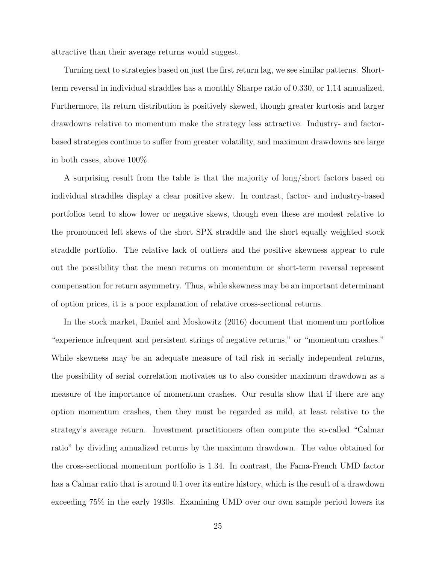attractive than their average returns would suggest.

Turning next to strategies based on just the first return lag, we see similar patterns. Shortterm reversal in individual straddles has a monthly Sharpe ratio of 0.330, or 1.14 annualized. Furthermore, its return distribution is positively skewed, though greater kurtosis and larger drawdowns relative to momentum make the strategy less attractive. Industry- and factorbased strategies continue to suffer from greater volatility, and maximum drawdowns are large in both cases, above 100%.

A surprising result from the table is that the majority of long/short factors based on individual straddles display a clear positive skew. In contrast, factor- and industry-based portfolios tend to show lower or negative skews, though even these are modest relative to the pronounced left skews of the short SPX straddle and the short equally weighted stock straddle portfolio. The relative lack of outliers and the positive skewness appear to rule out the possibility that the mean returns on momentum or short-term reversal represent compensation for return asymmetry. Thus, while skewness may be an important determinant of option prices, it is a poor explanation of relative cross-sectional returns.

In the stock market, Daniel and Moskowitz (2016) document that momentum portfolios "experience infrequent and persistent strings of negative returns," or "momentum crashes." While skewness may be an adequate measure of tail risk in serially independent returns, the possibility of serial correlation motivates us to also consider maximum drawdown as a measure of the importance of momentum crashes. Our results show that if there are any option momentum crashes, then they must be regarded as mild, at least relative to the strategy's average return. Investment practitioners often compute the so-called "Calmar ratio" by dividing annualized returns by the maximum drawdown. The value obtained for the cross-sectional momentum portfolio is 1.34. In contrast, the Fama-French UMD factor has a Calmar ratio that is around 0.1 over its entire history, which is the result of a drawdown exceeding 75% in the early 1930s. Examining UMD over our own sample period lowers its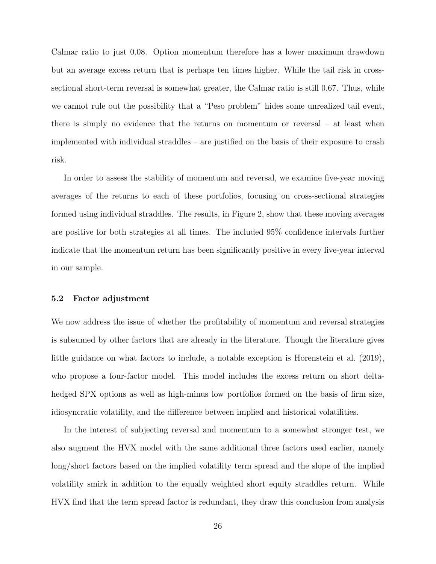Calmar ratio to just 0.08. Option momentum therefore has a lower maximum drawdown but an average excess return that is perhaps ten times higher. While the tail risk in crosssectional short-term reversal is somewhat greater, the Calmar ratio is still 0.67. Thus, while we cannot rule out the possibility that a "Peso problem" hides some unrealized tail event, there is simply no evidence that the returns on momentum or reversal – at least when implemented with individual straddles – are justified on the basis of their exposure to crash risk.

In order to assess the stability of momentum and reversal, we examine five-year moving averages of the returns to each of these portfolios, focusing on cross-sectional strategies formed using individual straddles. The results, in Figure 2, show that these moving averages are positive for both strategies at all times. The included 95% confidence intervals further indicate that the momentum return has been significantly positive in every five-year interval in our sample.

# 5.2 Factor adjustment

We now address the issue of whether the profitability of momentum and reversal strategies is subsumed by other factors that are already in the literature. Though the literature gives little guidance on what factors to include, a notable exception is Horenstein et al. (2019), who propose a four-factor model. This model includes the excess return on short deltahedged SPX options as well as high-minus low portfolios formed on the basis of firm size, idiosyncratic volatility, and the difference between implied and historical volatilities.

In the interest of subjecting reversal and momentum to a somewhat stronger test, we also augment the HVX model with the same additional three factors used earlier, namely long/short factors based on the implied volatility term spread and the slope of the implied volatility smirk in addition to the equally weighted short equity straddles return. While HVX find that the term spread factor is redundant, they draw this conclusion from analysis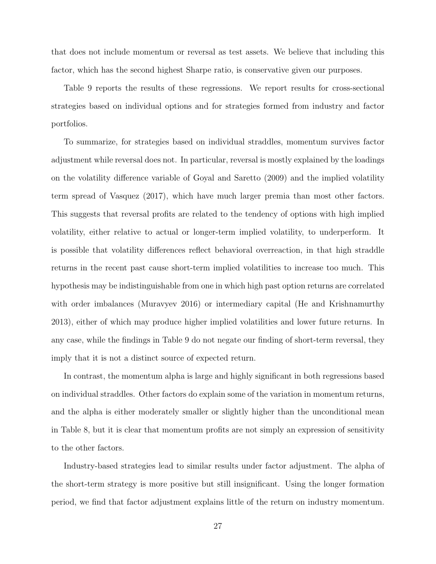that does not include momentum or reversal as test assets. We believe that including this factor, which has the second highest Sharpe ratio, is conservative given our purposes.

Table 9 reports the results of these regressions. We report results for cross-sectional strategies based on individual options and for strategies formed from industry and factor portfolios.

To summarize, for strategies based on individual straddles, momentum survives factor adjustment while reversal does not. In particular, reversal is mostly explained by the loadings on the volatility difference variable of Goyal and Saretto (2009) and the implied volatility term spread of Vasquez (2017), which have much larger premia than most other factors. This suggests that reversal profits are related to the tendency of options with high implied volatility, either relative to actual or longer-term implied volatility, to underperform. It is possible that volatility differences reflect behavioral overreaction, in that high straddle returns in the recent past cause short-term implied volatilities to increase too much. This hypothesis may be indistinguishable from one in which high past option returns are correlated with order imbalances (Muravyev 2016) or intermediary capital (He and Krishnamurthy 2013), either of which may produce higher implied volatilities and lower future returns. In any case, while the findings in Table 9 do not negate our finding of short-term reversal, they imply that it is not a distinct source of expected return.

In contrast, the momentum alpha is large and highly significant in both regressions based on individual straddles. Other factors do explain some of the variation in momentum returns, and the alpha is either moderately smaller or slightly higher than the unconditional mean in Table 8, but it is clear that momentum profits are not simply an expression of sensitivity to the other factors.

Industry-based strategies lead to similar results under factor adjustment. The alpha of the short-term strategy is more positive but still insignificant. Using the longer formation period, we find that factor adjustment explains little of the return on industry momentum.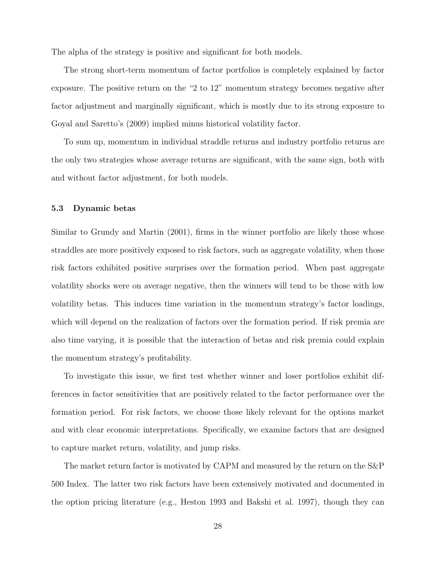The alpha of the strategy is positive and significant for both models.

The strong short-term momentum of factor portfolios is completely explained by factor exposure. The positive return on the "2 to 12" momentum strategy becomes negative after factor adjustment and marginally significant, which is mostly due to its strong exposure to Goyal and Saretto's (2009) implied minus historical volatility factor.

To sum up, momentum in individual straddle returns and industry portfolio returns are the only two strategies whose average returns are significant, with the same sign, both with and without factor adjustment, for both models.

# 5.3 Dynamic betas

Similar to Grundy and Martin (2001), firms in the winner portfolio are likely those whose straddles are more positively exposed to risk factors, such as aggregate volatility, when those risk factors exhibited positive surprises over the formation period. When past aggregate volatility shocks were on average negative, then the winners will tend to be those with low volatility betas. This induces time variation in the momentum strategy's factor loadings, which will depend on the realization of factors over the formation period. If risk premia are also time varying, it is possible that the interaction of betas and risk premia could explain the momentum strategy's profitability.

To investigate this issue, we first test whether winner and loser portfolios exhibit differences in factor sensitivities that are positively related to the factor performance over the formation period. For risk factors, we choose those likely relevant for the options market and with clear economic interpretations. Specifically, we examine factors that are designed to capture market return, volatility, and jump risks.

The market return factor is motivated by CAPM and measured by the return on the S&P 500 Index. The latter two risk factors have been extensively motivated and documented in the option pricing literature (e.g., Heston 1993 and Bakshi et al. 1997), though they can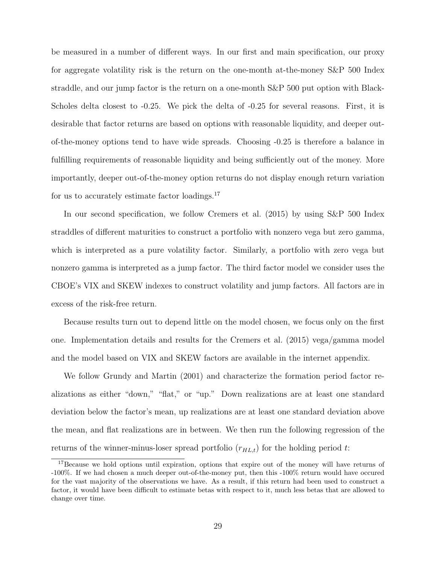be measured in a number of different ways. In our first and main specification, our proxy for aggregate volatility risk is the return on the one-month at-the-money S&P 500 Index straddle, and our jump factor is the return on a one-month S&P 500 put option with Black-Scholes delta closest to -0.25. We pick the delta of -0.25 for several reasons. First, it is desirable that factor returns are based on options with reasonable liquidity, and deeper outof-the-money options tend to have wide spreads. Choosing -0.25 is therefore a balance in fulfilling requirements of reasonable liquidity and being sufficiently out of the money. More importantly, deeper out-of-the-money option returns do not display enough return variation for us to accurately estimate factor loadings.<sup>17</sup>

In our second specification, we follow Cremers et al. (2015) by using S&P 500 Index straddles of different maturities to construct a portfolio with nonzero vega but zero gamma, which is interpreted as a pure volatility factor. Similarly, a portfolio with zero vega but nonzero gamma is interpreted as a jump factor. The third factor model we consider uses the CBOE's VIX and SKEW indexes to construct volatility and jump factors. All factors are in excess of the risk-free return.

Because results turn out to depend little on the model chosen, we focus only on the first one. Implementation details and results for the Cremers et al. (2015) vega/gamma model and the model based on VIX and SKEW factors are available in the internet appendix.

We follow Grundy and Martin (2001) and characterize the formation period factor realizations as either "down," "flat," or "up." Down realizations are at least one standard deviation below the factor's mean, up realizations are at least one standard deviation above the mean, and flat realizations are in between. We then run the following regression of the returns of the winner-minus-loser spread portfolio  $(r_{HL,t})$  for the holding period t:

<sup>17</sup>Because we hold options until expiration, options that expire out of the money will have returns of -100%. If we had chosen a much deeper out-of-the-money put, then this -100% return would have occured for the vast majority of the observations we have. As a result, if this return had been used to construct a factor, it would have been difficult to estimate betas with respect to it, much less betas that are allowed to change over time.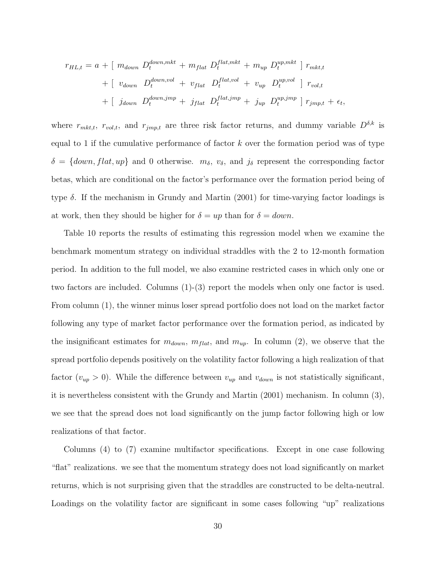$$
r_{HL,t} = a + [m_{down} D_t^{down,mkt} + m_{flat} D_t^{flat,mkt} + m_{up} D_t^{up,mkt}] r_{mkt,t}
$$
  
+ 
$$
[v_{down} D_t^{down,vol} + v_{flat} D_t^{flat,vol} + v_{up} D_t^{up,vol}] r_{vol,t}
$$
  
+ 
$$
[j_{down} D_t^{down,imp} + j_{flat} D_t^{flat,imp} + j_{up} D_t^{up,imp}] r_{imp,t} + \epsilon_t,
$$

where  $r_{mkt,t}$ ,  $r_{vol,t}$ , and  $r_{jmp,t}$  are three risk factor returns, and dummy variable  $D^{\delta,k}$  is equal to 1 if the cumulative performance of factor  $k$  over the formation period was of type  $\delta = \{down, flat, up\}$  and 0 otherwise.  $m_{\delta}$ ,  $v_{\delta}$ , and  $j_{\delta}$  represent the corresponding factor betas, which are conditional on the factor's performance over the formation period being of type  $\delta$ . If the mechanism in Grundy and Martin (2001) for time-varying factor loadings is at work, then they should be higher for  $\delta = up$  than for  $\delta = down$ .

Table 10 reports the results of estimating this regression model when we examine the benchmark momentum strategy on individual straddles with the 2 to 12-month formation period. In addition to the full model, we also examine restricted cases in which only one or two factors are included. Columns (1)-(3) report the models when only one factor is used. From column (1), the winner minus loser spread portfolio does not load on the market factor following any type of market factor performance over the formation period, as indicated by the insignificant estimates for  $m_{down}$ ,  $m_{flat}$ , and  $m_{up}$ . In column (2), we observe that the spread portfolio depends positively on the volatility factor following a high realization of that factor  $(v_{up} > 0)$ . While the difference between  $v_{up}$  and  $v_{down}$  is not statistically significant, it is nevertheless consistent with the Grundy and Martin (2001) mechanism. In column (3), we see that the spread does not load significantly on the jump factor following high or low realizations of that factor.

Columns (4) to (7) examine multifactor specifications. Except in one case following "flat" realizations. we see that the momentum strategy does not load significantly on market returns, which is not surprising given that the straddles are constructed to be delta-neutral. Loadings on the volatility factor are significant in some cases following "up" realizations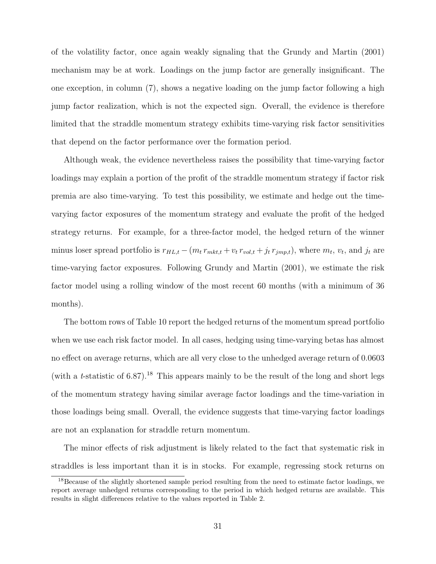of the volatility factor, once again weakly signaling that the Grundy and Martin (2001) mechanism may be at work. Loadings on the jump factor are generally insignificant. The one exception, in column (7), shows a negative loading on the jump factor following a high jump factor realization, which is not the expected sign. Overall, the evidence is therefore limited that the straddle momentum strategy exhibits time-varying risk factor sensitivities that depend on the factor performance over the formation period.

Although weak, the evidence nevertheless raises the possibility that time-varying factor loadings may explain a portion of the profit of the straddle momentum strategy if factor risk premia are also time-varying. To test this possibility, we estimate and hedge out the timevarying factor exposures of the momentum strategy and evaluate the profit of the hedged strategy returns. For example, for a three-factor model, the hedged return of the winner minus loser spread portfolio is  $r_{HL,t} - (m_t r_{mkt,t} + v_t r_{vol,t} + j_t r_{jmp,t})$ , where  $m_t$ ,  $v_t$ , and  $j_t$  are time-varying factor exposures. Following Grundy and Martin (2001), we estimate the risk factor model using a rolling window of the most recent 60 months (with a minimum of 36 months).

The bottom rows of Table 10 report the hedged returns of the momentum spread portfolio when we use each risk factor model. In all cases, hedging using time-varying betas has almost no effect on average returns, which are all very close to the unhedged average return of 0.0603 (with a t-statistic of 6.87).<sup>18</sup> This appears mainly to be the result of the long and short legs of the momentum strategy having similar average factor loadings and the time-variation in those loadings being small. Overall, the evidence suggests that time-varying factor loadings are not an explanation for straddle return momentum.

The minor effects of risk adjustment is likely related to the fact that systematic risk in straddles is less important than it is in stocks. For example, regressing stock returns on

<sup>&</sup>lt;sup>18</sup>Because of the slightly shortened sample period resulting from the need to estimate factor loadings, we report average unhedged returns corresponding to the period in which hedged returns are available. This results in slight differences relative to the values reported in Table 2.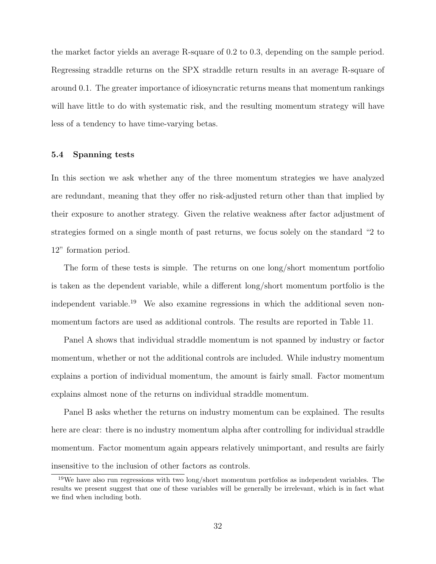the market factor yields an average R-square of 0.2 to 0.3, depending on the sample period. Regressing straddle returns on the SPX straddle return results in an average R-square of around 0.1. The greater importance of idiosyncratic returns means that momentum rankings will have little to do with systematic risk, and the resulting momentum strategy will have less of a tendency to have time-varying betas.

# 5.4 Spanning tests

In this section we ask whether any of the three momentum strategies we have analyzed are redundant, meaning that they offer no risk-adjusted return other than that implied by their exposure to another strategy. Given the relative weakness after factor adjustment of strategies formed on a single month of past returns, we focus solely on the standard "2 to 12" formation period.

The form of these tests is simple. The returns on one long/short momentum portfolio is taken as the dependent variable, while a different long/short momentum portfolio is the independent variable.<sup>19</sup> We also examine regressions in which the additional seven nonmomentum factors are used as additional controls. The results are reported in Table 11.

Panel A shows that individual straddle momentum is not spanned by industry or factor momentum, whether or not the additional controls are included. While industry momentum explains a portion of individual momentum, the amount is fairly small. Factor momentum explains almost none of the returns on individual straddle momentum.

Panel B asks whether the returns on industry momentum can be explained. The results here are clear: there is no industry momentum alpha after controlling for individual straddle momentum. Factor momentum again appears relatively unimportant, and results are fairly insensitive to the inclusion of other factors as controls.

<sup>19</sup>We have also run regressions with two long/short momentum portfolios as independent variables. The results we present suggest that one of these variables will be generally be irrelevant, which is in fact what we find when including both.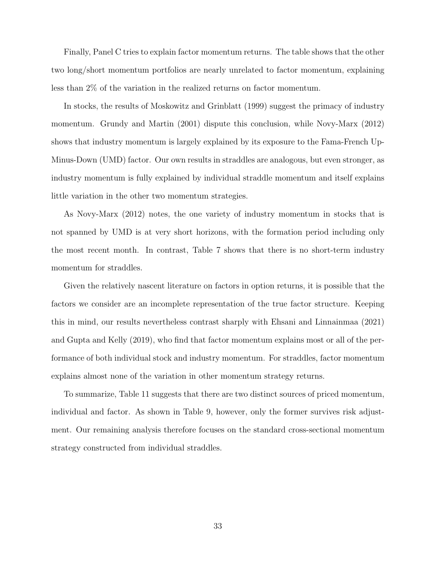Finally, Panel C tries to explain factor momentum returns. The table shows that the other two long/short momentum portfolios are nearly unrelated to factor momentum, explaining less than 2% of the variation in the realized returns on factor momentum.

In stocks, the results of Moskowitz and Grinblatt (1999) suggest the primacy of industry momentum. Grundy and Martin (2001) dispute this conclusion, while Novy-Marx (2012) shows that industry momentum is largely explained by its exposure to the Fama-French Up-Minus-Down (UMD) factor. Our own results in straddles are analogous, but even stronger, as industry momentum is fully explained by individual straddle momentum and itself explains little variation in the other two momentum strategies.

As Novy-Marx (2012) notes, the one variety of industry momentum in stocks that is not spanned by UMD is at very short horizons, with the formation period including only the most recent month. In contrast, Table 7 shows that there is no short-term industry momentum for straddles.

Given the relatively nascent literature on factors in option returns, it is possible that the factors we consider are an incomplete representation of the true factor structure. Keeping this in mind, our results nevertheless contrast sharply with Ehsani and Linnainmaa (2021) and Gupta and Kelly (2019), who find that factor momentum explains most or all of the performance of both individual stock and industry momentum. For straddles, factor momentum explains almost none of the variation in other momentum strategy returns.

To summarize, Table 11 suggests that there are two distinct sources of priced momentum, individual and factor. As shown in Table 9, however, only the former survives risk adjustment. Our remaining analysis therefore focuses on the standard cross-sectional momentum strategy constructed from individual straddles.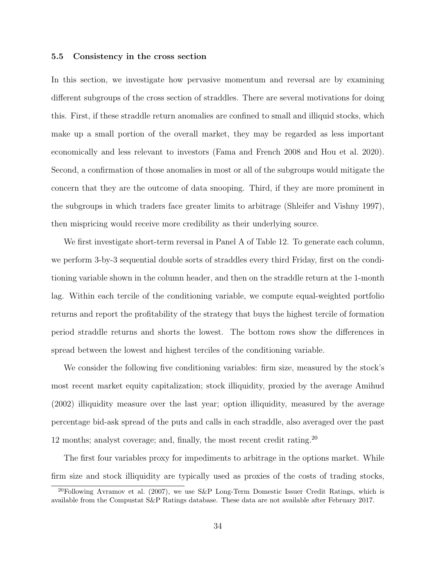# 5.5 Consistency in the cross section

In this section, we investigate how pervasive momentum and reversal are by examining different subgroups of the cross section of straddles. There are several motivations for doing this. First, if these straddle return anomalies are confined to small and illiquid stocks, which make up a small portion of the overall market, they may be regarded as less important economically and less relevant to investors (Fama and French 2008 and Hou et al. 2020). Second, a confirmation of those anomalies in most or all of the subgroups would mitigate the concern that they are the outcome of data snooping. Third, if they are more prominent in the subgroups in which traders face greater limits to arbitrage (Shleifer and Vishny 1997), then mispricing would receive more credibility as their underlying source.

We first investigate short-term reversal in Panel A of Table 12. To generate each column, we perform 3-by-3 sequential double sorts of straddles every third Friday, first on the conditioning variable shown in the column header, and then on the straddle return at the 1-month lag. Within each tercile of the conditioning variable, we compute equal-weighted portfolio returns and report the profitability of the strategy that buys the highest tercile of formation period straddle returns and shorts the lowest. The bottom rows show the differences in spread between the lowest and highest terciles of the conditioning variable.

We consider the following five conditioning variables: firm size, measured by the stock's most recent market equity capitalization; stock illiquidity, proxied by the average Amihud (2002) illiquidity measure over the last year; option illiquidity, measured by the average percentage bid-ask spread of the puts and calls in each straddle, also averaged over the past 12 months; analyst coverage; and, finally, the most recent credit rating.<sup>20</sup>

The first four variables proxy for impediments to arbitrage in the options market. While firm size and stock illiquidity are typically used as proxies of the costs of trading stocks,

<sup>&</sup>lt;sup>20</sup>Following Avramov et al. (2007), we use S&P Long-Term Domestic Issuer Credit Ratings, which is available from the Compustat S&P Ratings database. These data are not available after February 2017.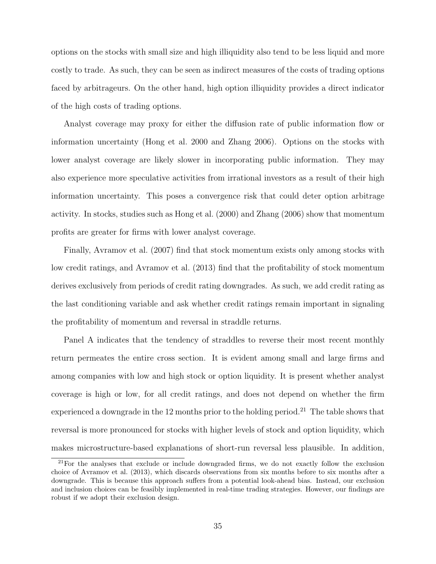options on the stocks with small size and high illiquidity also tend to be less liquid and more costly to trade. As such, they can be seen as indirect measures of the costs of trading options faced by arbitrageurs. On the other hand, high option illiquidity provides a direct indicator of the high costs of trading options.

Analyst coverage may proxy for either the diffusion rate of public information flow or information uncertainty (Hong et al. 2000 and Zhang 2006). Options on the stocks with lower analyst coverage are likely slower in incorporating public information. They may also experience more speculative activities from irrational investors as a result of their high information uncertainty. This poses a convergence risk that could deter option arbitrage activity. In stocks, studies such as Hong et al. (2000) and Zhang (2006) show that momentum profits are greater for firms with lower analyst coverage.

Finally, Avramov et al. (2007) find that stock momentum exists only among stocks with low credit ratings, and Avramov et al. (2013) find that the profitability of stock momentum derives exclusively from periods of credit rating downgrades. As such, we add credit rating as the last conditioning variable and ask whether credit ratings remain important in signaling the profitability of momentum and reversal in straddle returns.

Panel A indicates that the tendency of straddles to reverse their most recent monthly return permeates the entire cross section. It is evident among small and large firms and among companies with low and high stock or option liquidity. It is present whether analyst coverage is high or low, for all credit ratings, and does not depend on whether the firm experienced a downgrade in the 12 months prior to the holding period.<sup>21</sup> The table shows that reversal is more pronounced for stocks with higher levels of stock and option liquidity, which makes microstructure-based explanations of short-run reversal less plausible. In addition,

<sup>&</sup>lt;sup>21</sup>For the analyses that exclude or include downgraded firms, we do not exactly follow the exclusion choice of Avramov et al. (2013), which discards observations from six months before to six months after a downgrade. This is because this approach suffers from a potential look-ahead bias. Instead, our exclusion and inclusion choices can be feasibly implemented in real-time trading strategies. However, our findings are robust if we adopt their exclusion design.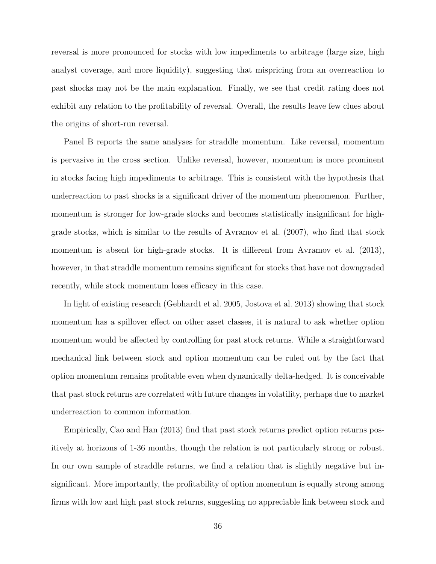reversal is more pronounced for stocks with low impediments to arbitrage (large size, high analyst coverage, and more liquidity), suggesting that mispricing from an overreaction to past shocks may not be the main explanation. Finally, we see that credit rating does not exhibit any relation to the profitability of reversal. Overall, the results leave few clues about the origins of short-run reversal.

Panel B reports the same analyses for straddle momentum. Like reversal, momentum is pervasive in the cross section. Unlike reversal, however, momentum is more prominent in stocks facing high impediments to arbitrage. This is consistent with the hypothesis that underreaction to past shocks is a significant driver of the momentum phenomenon. Further, momentum is stronger for low-grade stocks and becomes statistically insignificant for highgrade stocks, which is similar to the results of Avramov et al. (2007), who find that stock momentum is absent for high-grade stocks. It is different from Avramov et al.  $(2013)$ , however, in that straddle momentum remains significant for stocks that have not downgraded recently, while stock momentum loses efficacy in this case.

In light of existing research (Gebhardt et al. 2005, Jostova et al. 2013) showing that stock momentum has a spillover effect on other asset classes, it is natural to ask whether option momentum would be affected by controlling for past stock returns. While a straightforward mechanical link between stock and option momentum can be ruled out by the fact that option momentum remains profitable even when dynamically delta-hedged. It is conceivable that past stock returns are correlated with future changes in volatility, perhaps due to market underreaction to common information.

Empirically, Cao and Han (2013) find that past stock returns predict option returns positively at horizons of 1-36 months, though the relation is not particularly strong or robust. In our own sample of straddle returns, we find a relation that is slightly negative but insignificant. More importantly, the profitability of option momentum is equally strong among firms with low and high past stock returns, suggesting no appreciable link between stock and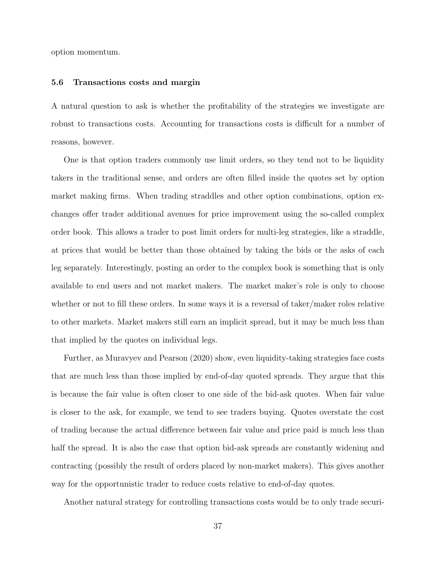option momentum.

#### 5.6 Transactions costs and margin

A natural question to ask is whether the profitability of the strategies we investigate are robust to transactions costs. Accounting for transactions costs is difficult for a number of reasons, however.

One is that option traders commonly use limit orders, so they tend not to be liquidity takers in the traditional sense, and orders are often filled inside the quotes set by option market making firms. When trading straddles and other option combinations, option exchanges offer trader additional avenues for price improvement using the so-called complex order book. This allows a trader to post limit orders for multi-leg strategies, like a straddle, at prices that would be better than those obtained by taking the bids or the asks of each leg separately. Interestingly, posting an order to the complex book is something that is only available to end users and not market makers. The market maker's role is only to choose whether or not to fill these orders. In some ways it is a reversal of taker/maker roles relative to other markets. Market makers still earn an implicit spread, but it may be much less than that implied by the quotes on individual legs.

Further, as Muravyev and Pearson (2020) show, even liquidity-taking strategies face costs that are much less than those implied by end-of-day quoted spreads. They argue that this is because the fair value is often closer to one side of the bid-ask quotes. When fair value is closer to the ask, for example, we tend to see traders buying. Quotes overstate the cost of trading because the actual difference between fair value and price paid is much less than half the spread. It is also the case that option bid-ask spreads are constantly widening and contracting (possibly the result of orders placed by non-market makers). This gives another way for the opportunistic trader to reduce costs relative to end-of-day quotes.

Another natural strategy for controlling transactions costs would be to only trade securi-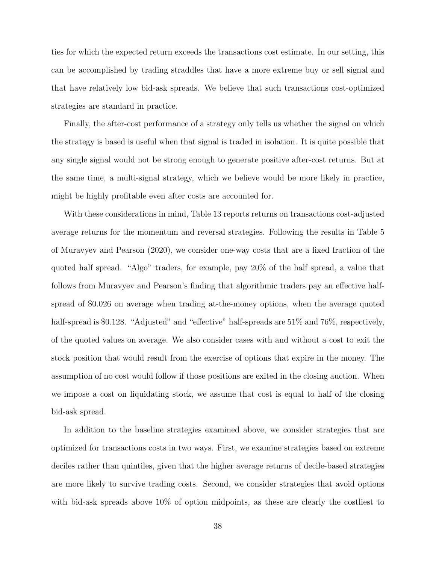ties for which the expected return exceeds the transactions cost estimate. In our setting, this can be accomplished by trading straddles that have a more extreme buy or sell signal and that have relatively low bid-ask spreads. We believe that such transactions cost-optimized strategies are standard in practice.

Finally, the after-cost performance of a strategy only tells us whether the signal on which the strategy is based is useful when that signal is traded in isolation. It is quite possible that any single signal would not be strong enough to generate positive after-cost returns. But at the same time, a multi-signal strategy, which we believe would be more likely in practice, might be highly profitable even after costs are accounted for.

With these considerations in mind, Table 13 reports returns on transactions cost-adjusted average returns for the momentum and reversal strategies. Following the results in Table 5 of Muravyev and Pearson (2020), we consider one-way costs that are a fixed fraction of the quoted half spread. "Algo" traders, for example, pay 20% of the half spread, a value that follows from Muravyev and Pearson's finding that algorithmic traders pay an effective halfspread of \$0.026 on average when trading at-the-money options, when the average quoted half-spread is \$0.128. "Adjusted" and "effective" half-spreads are 51% and 76%, respectively, of the quoted values on average. We also consider cases with and without a cost to exit the stock position that would result from the exercise of options that expire in the money. The assumption of no cost would follow if those positions are exited in the closing auction. When we impose a cost on liquidating stock, we assume that cost is equal to half of the closing bid-ask spread.

In addition to the baseline strategies examined above, we consider strategies that are optimized for transactions costs in two ways. First, we examine strategies based on extreme deciles rather than quintiles, given that the higher average returns of decile-based strategies are more likely to survive trading costs. Second, we consider strategies that avoid options with bid-ask spreads above 10% of option midpoints, as these are clearly the costliest to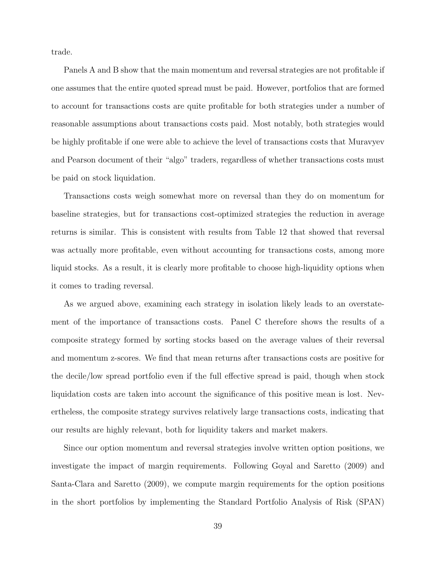trade.

Panels A and B show that the main momentum and reversal strategies are not profitable if one assumes that the entire quoted spread must be paid. However, portfolios that are formed to account for transactions costs are quite profitable for both strategies under a number of reasonable assumptions about transactions costs paid. Most notably, both strategies would be highly profitable if one were able to achieve the level of transactions costs that Muravyev and Pearson document of their "algo" traders, regardless of whether transactions costs must be paid on stock liquidation.

Transactions costs weigh somewhat more on reversal than they do on momentum for baseline strategies, but for transactions cost-optimized strategies the reduction in average returns is similar. This is consistent with results from Table 12 that showed that reversal was actually more profitable, even without accounting for transactions costs, among more liquid stocks. As a result, it is clearly more profitable to choose high-liquidity options when it comes to trading reversal.

As we argued above, examining each strategy in isolation likely leads to an overstatement of the importance of transactions costs. Panel C therefore shows the results of a composite strategy formed by sorting stocks based on the average values of their reversal and momentum z-scores. We find that mean returns after transactions costs are positive for the decile/low spread portfolio even if the full effective spread is paid, though when stock liquidation costs are taken into account the significance of this positive mean is lost. Nevertheless, the composite strategy survives relatively large transactions costs, indicating that our results are highly relevant, both for liquidity takers and market makers.

Since our option momentum and reversal strategies involve written option positions, we investigate the impact of margin requirements. Following Goyal and Saretto (2009) and Santa-Clara and Saretto (2009), we compute margin requirements for the option positions in the short portfolios by implementing the Standard Portfolio Analysis of Risk (SPAN)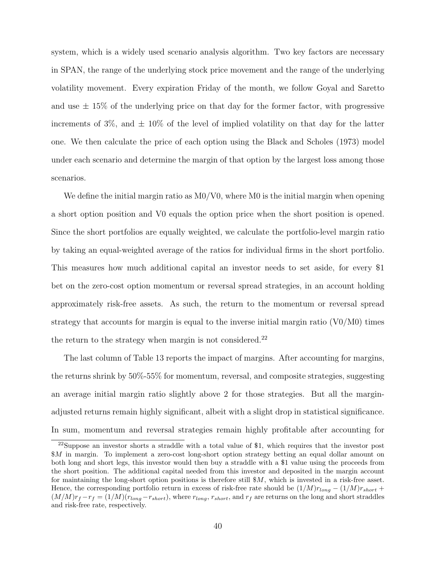system, which is a widely used scenario analysis algorithm. Two key factors are necessary in SPAN, the range of the underlying stock price movement and the range of the underlying volatility movement. Every expiration Friday of the month, we follow Goyal and Saretto and use  $\pm$  15% of the underlying price on that day for the former factor, with progressive increments of 3%, and  $\pm$  10% of the level of implied volatility on that day for the latter one. We then calculate the price of each option using the Black and Scholes (1973) model under each scenario and determine the margin of that option by the largest loss among those scenarios.

We define the initial margin ratio as  $M_0/V_0$ , where M0 is the initial margin when opening a short option position and V0 equals the option price when the short position is opened. Since the short portfolios are equally weighted, we calculate the portfolio-level margin ratio by taking an equal-weighted average of the ratios for individual firms in the short portfolio. This measures how much additional capital an investor needs to set aside, for every \$1 bet on the zero-cost option momentum or reversal spread strategies, in an account holding approximately risk-free assets. As such, the return to the momentum or reversal spread strategy that accounts for margin is equal to the inverse initial margin ratio  $(\text{V0}/\text{M0})$  times the return to the strategy when margin is not considered.<sup>22</sup>

The last column of Table 13 reports the impact of margins. After accounting for margins, the returns shrink by 50%-55% for momentum, reversal, and composite strategies, suggesting an average initial margin ratio slightly above 2 for those strategies. But all the marginadjusted returns remain highly significant, albeit with a slight drop in statistical significance. In sum, momentum and reversal strategies remain highly profitable after accounting for

<sup>22</sup>Suppose an investor shorts a straddle with a total value of \$1, which requires that the investor post \$M in margin. To implement a zero-cost long-short option strategy betting an equal dollar amount on both long and short legs, this investor would then buy a straddle with a \$1 value using the proceeds from the short position. The additional capital needed from this investor and deposited in the margin account for maintaining the long-short option positions is therefore still \$M, which is invested in a risk-free asset. Hence, the corresponding portfolio return in excess of risk-free rate should be  $(1/M)r_{long} - (1/M)r_{short} +$  $(M/M)r_f-r_f = (1/M)(r_{long}-r_{short})$ , where  $r_{long}$ ,  $r_{short}$ , and  $r_f$  are returns on the long and short straddles and risk-free rate, respectively.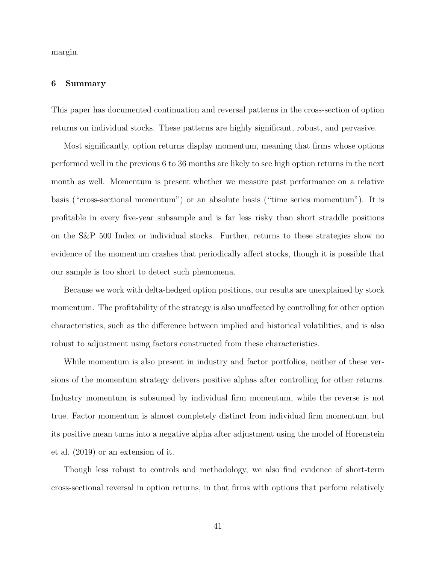margin.

# 6 Summary

This paper has documented continuation and reversal patterns in the cross-section of option returns on individual stocks. These patterns are highly significant, robust, and pervasive.

Most significantly, option returns display momentum, meaning that firms whose options performed well in the previous 6 to 36 months are likely to see high option returns in the next month as well. Momentum is present whether we measure past performance on a relative basis ("cross-sectional momentum") or an absolute basis ("time series momentum"). It is profitable in every five-year subsample and is far less risky than short straddle positions on the S&P 500 Index or individual stocks. Further, returns to these strategies show no evidence of the momentum crashes that periodically affect stocks, though it is possible that our sample is too short to detect such phenomena.

Because we work with delta-hedged option positions, our results are unexplained by stock momentum. The profitability of the strategy is also unaffected by controlling for other option characteristics, such as the difference between implied and historical volatilities, and is also robust to adjustment using factors constructed from these characteristics.

While momentum is also present in industry and factor portfolios, neither of these versions of the momentum strategy delivers positive alphas after controlling for other returns. Industry momentum is subsumed by individual firm momentum, while the reverse is not true. Factor momentum is almost completely distinct from individual firm momentum, but its positive mean turns into a negative alpha after adjustment using the model of Horenstein et al. (2019) or an extension of it.

Though less robust to controls and methodology, we also find evidence of short-term cross-sectional reversal in option returns, in that firms with options that perform relatively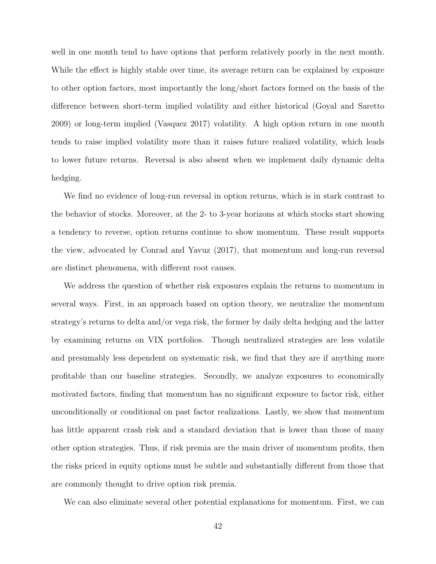well in one month tend to have options that perform relatively poorly in the next month. While the effect is highly stable over time, its average return can be explained by exposure to other option factors, most importantly the long/short factors formed on the basis of the difference between short-term implied volatility and either historical (Goyal and Saretto 2009) or long-term implied (Vasquez 2017) volatility. A high option return in one month tends to raise implied volatility more than it raises future realized volatility, which leads to lower future returns. Reversal is also absent when we implement daily dynamic delta hedging.

We find no evidence of long-run reversal in option returns, which is in stark contrast to the behavior of stocks. Moreover, at the 2- to 3-year horizons at which stocks start showing a tendency to reverse, option returns continue to show momentum. These result supports the view, advocated by Conrad and Yavuz (2017), that momentum and long-run reversal are distinct phenomena, with different root causes.

We address the question of whether risk exposures explain the returns to momentum in several ways. First, in an approach based on option theory, we neutralize the momentum strategy's returns to delta and/or vega risk, the former by daily delta hedging and the latter by examining returns on VIX portfolios. Though neutralized strategies are less volatile and presumably less dependent on systematic risk, we find that they are if anything more profitable than our baseline strategies. Secondly, we analyze exposures to economically motivated factors, finding that momentum has no significant exposure to factor risk, either unconditionally or conditional on past factor realizations. Lastly, we show that momentum has little apparent crash risk and a standard deviation that is lower than those of many other option strategies. Thus, if risk premia are the main driver of momentum profits, then the risks priced in equity options must be subtle and substantially different from those that are commonly thought to drive option risk premia.

We can also eliminate several other potential explanations for momentum. First, we can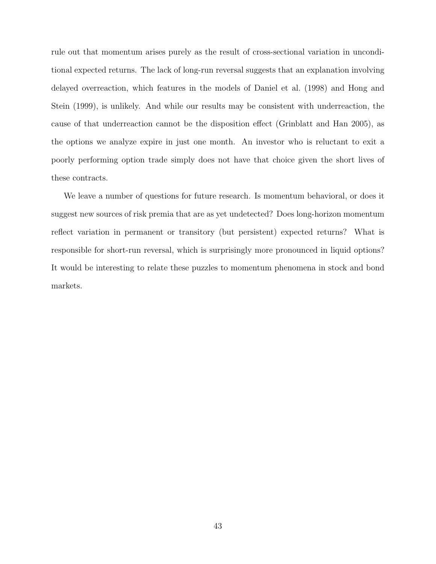rule out that momentum arises purely as the result of cross-sectional variation in unconditional expected returns. The lack of long-run reversal suggests that an explanation involving delayed overreaction, which features in the models of Daniel et al. (1998) and Hong and Stein (1999), is unlikely. And while our results may be consistent with underreaction, the cause of that underreaction cannot be the disposition effect (Grinblatt and Han 2005), as the options we analyze expire in just one month. An investor who is reluctant to exit a poorly performing option trade simply does not have that choice given the short lives of these contracts.

We leave a number of questions for future research. Is momentum behavioral, or does it suggest new sources of risk premia that are as yet undetected? Does long-horizon momentum reflect variation in permanent or transitory (but persistent) expected returns? What is responsible for short-run reversal, which is surprisingly more pronounced in liquid options? It would be interesting to relate these puzzles to momentum phenomena in stock and bond markets.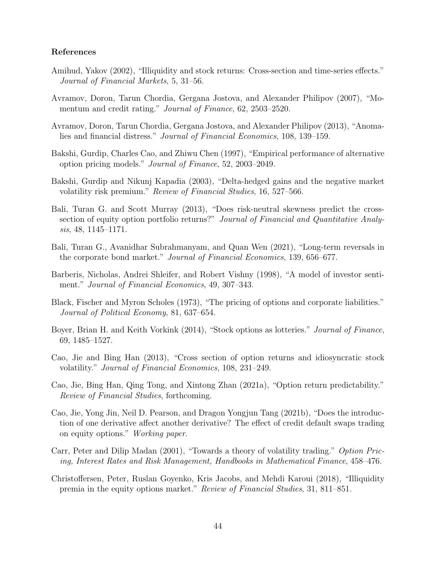# References

- Amihud, Yakov (2002), "Illiquidity and stock returns: Cross-section and time-series effects." Journal of Financial Markets, 5, 31–56.
- Avramov, Doron, Tarun Chordia, Gergana Jostova, and Alexander Philipov (2007), "Momentum and credit rating." Journal of Finance, 62, 2503–2520.
- Avramov, Doron, Tarun Chordia, Gergana Jostova, and Alexander Philipov (2013), "Anomalies and financial distress." Journal of Financial Economics, 108, 139–159.
- Bakshi, Gurdip, Charles Cao, and Zhiwu Chen (1997), "Empirical performance of alternative option pricing models." Journal of Finance, 52, 2003–2049.
- Bakshi, Gurdip and Nikunj Kapadia (2003), "Delta-hedged gains and the negative market volatility risk premium." Review of Financial Studies, 16, 527–566.
- Bali, Turan G. and Scott Murray (2013), "Does risk-neutral skewness predict the crosssection of equity option portfolio returns?" Journal of Financial and Quantitative Analysis, 48, 1145–1171.
- Bali, Turan G., Avanidhar Subrahmanyam, and Quan Wen (2021), "Long-term reversals in the corporate bond market." Journal of Financial Economics, 139, 656–677.
- Barberis, Nicholas, Andrei Shleifer, and Robert Vishny (1998), "A model of investor sentiment." Journal of Financial Economics, 49, 307-343.
- Black, Fischer and Myron Scholes (1973), "The pricing of options and corporate liabilities." Journal of Political Economy, 81, 637–654.
- Boyer, Brian H. and Keith Vorkink (2014), "Stock options as lotteries." Journal of Finance, 69, 1485–1527.
- Cao, Jie and Bing Han (2013), "Cross section of option returns and idiosyncratic stock volatility." Journal of Financial Economics, 108, 231–249.
- Cao, Jie, Bing Han, Qing Tong, and Xintong Zhan (2021a), "Option return predictability." Review of Financial Studies, forthcoming.
- Cao, Jie, Yong Jin, Neil D. Pearson, and Dragon Yongjun Tang (2021b), "Does the introduction of one derivative affect another derivative? The effect of credit default swaps trading on equity options." Working paper.
- Carr, Peter and Dilip Madan (2001), "Towards a theory of volatility trading." Option Pricing, Interest Rates and Risk Management, Handbooks in Mathematical Finance, 458–476.
- Christoffersen, Peter, Ruslan Goyenko, Kris Jacobs, and Mehdi Karoui (2018), "Illiquidity premia in the equity options market." Review of Financial Studies, 31, 811–851.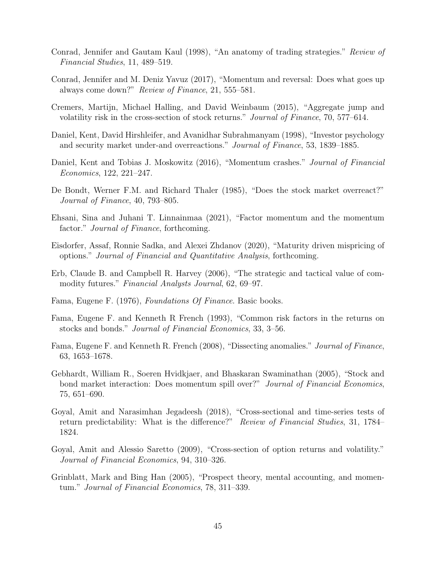- Conrad, Jennifer and Gautam Kaul (1998), "An anatomy of trading strategies." Review of Financial Studies, 11, 489–519.
- Conrad, Jennifer and M. Deniz Yavuz (2017), "Momentum and reversal: Does what goes up always come down?" Review of Finance, 21, 555–581.
- Cremers, Martijn, Michael Halling, and David Weinbaum (2015), "Aggregate jump and volatility risk in the cross-section of stock returns." Journal of Finance, 70, 577–614.
- Daniel, Kent, David Hirshleifer, and Avanidhar Subrahmanyam (1998), "Investor psychology and security market under-and overreactions." Journal of Finance, 53, 1839–1885.
- Daniel, Kent and Tobias J. Moskowitz (2016), "Momentum crashes." *Journal of Financial* Economics, 122, 221–247.
- De Bondt, Werner F.M. and Richard Thaler (1985), "Does the stock market overreact?" Journal of Finance, 40, 793–805.
- Ehsani, Sina and Juhani T. Linnainmaa (2021), "Factor momentum and the momentum factor." *Journal of Finance*, forthcoming.
- Eisdorfer, Assaf, Ronnie Sadka, and Alexei Zhdanov (2020), "Maturity driven mispricing of options." Journal of Financial and Quantitative Analysis, forthcoming.
- Erb, Claude B. and Campbell R. Harvey (2006), "The strategic and tactical value of commodity futures." Financial Analysts Journal, 62, 69–97.
- Fama, Eugene F. (1976), Foundations Of Finance. Basic books.
- Fama, Eugene F. and Kenneth R French (1993), "Common risk factors in the returns on stocks and bonds." Journal of Financial Economics, 33, 3–56.
- Fama, Eugene F. and Kenneth R. French (2008), "Dissecting anomalies." Journal of Finance, 63, 1653–1678.
- Gebhardt, William R., Soeren Hvidkjaer, and Bhaskaran Swaminathan (2005), "Stock and bond market interaction: Does momentum spill over?" Journal of Financial Economics, 75, 651–690.
- Goyal, Amit and Narasimhan Jegadeesh (2018), "Cross-sectional and time-series tests of return predictability: What is the difference?" Review of Financial Studies, 31, 1784– 1824.
- Goyal, Amit and Alessio Saretto (2009), "Cross-section of option returns and volatility." Journal of Financial Economics, 94, 310–326.
- Grinblatt, Mark and Bing Han (2005), "Prospect theory, mental accounting, and momentum." Journal of Financial Economics, 78, 311–339.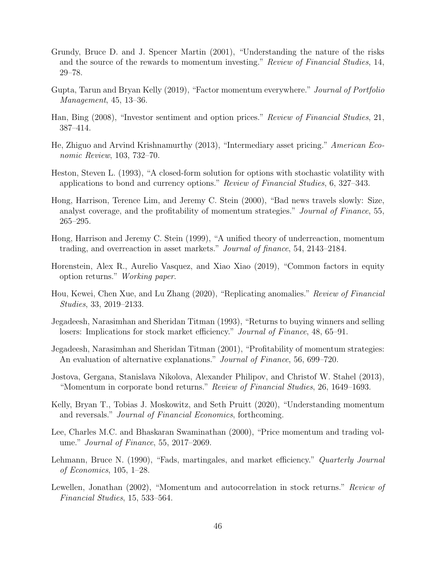- Grundy, Bruce D. and J. Spencer Martin (2001), "Understanding the nature of the risks and the source of the rewards to momentum investing." Review of Financial Studies, 14, 29–78.
- Gupta, Tarun and Bryan Kelly (2019), "Factor momentum everywhere." Journal of Portfolio Management, 45, 13–36.
- Han, Bing (2008), "Investor sentiment and option prices." Review of Financial Studies, 21, 387–414.
- He, Zhiguo and Arvind Krishnamurthy (2013), "Intermediary asset pricing." American Economic Review, 103, 732–70.
- Heston, Steven L. (1993), "A closed-form solution for options with stochastic volatility with applications to bond and currency options." Review of Financial Studies, 6, 327–343.
- Hong, Harrison, Terence Lim, and Jeremy C. Stein (2000), "Bad news travels slowly: Size, analyst coverage, and the profitability of momentum strategies." Journal of Finance, 55, 265–295.
- Hong, Harrison and Jeremy C. Stein (1999), "A unified theory of underreaction, momentum trading, and overreaction in asset markets." Journal of finance, 54, 2143–2184.
- Horenstein, Alex R., Aurelio Vasquez, and Xiao Xiao (2019), "Common factors in equity option returns." Working paper.
- Hou, Kewei, Chen Xue, and Lu Zhang (2020), "Replicating anomalies." Review of Financial Studies, 33, 2019–2133.
- Jegadeesh, Narasimhan and Sheridan Titman (1993), "Returns to buying winners and selling losers: Implications for stock market efficiency." *Journal of Finance*, 48, 65–91.
- Jegadeesh, Narasimhan and Sheridan Titman (2001), "Profitability of momentum strategies: An evaluation of alternative explanations." *Journal of Finance*, 56, 699–720.
- Jostova, Gergana, Stanislava Nikolova, Alexander Philipov, and Christof W. Stahel (2013), "Momentum in corporate bond returns." Review of Financial Studies, 26, 1649–1693.
- Kelly, Bryan T., Tobias J. Moskowitz, and Seth Pruitt (2020), "Understanding momentum and reversals." Journal of Financial Economics, forthcoming.
- Lee, Charles M.C. and Bhaskaran Swaminathan (2000), "Price momentum and trading volume." Journal of Finance, 55, 2017–2069.
- Lehmann, Bruce N. (1990), "Fads, martingales, and market efficiency." Quarterly Journal of Economics, 105, 1–28.
- Lewellen, Jonathan (2002), "Momentum and autocorrelation in stock returns." Review of Financial Studies, 15, 533–564.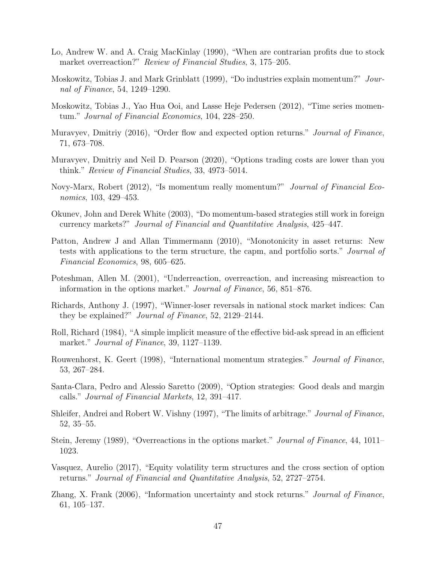- Lo, Andrew W. and A. Craig MacKinlay (1990), "When are contrarian profits due to stock market overreaction?" Review of Financial Studies, 3, 175–205.
- Moskowitz, Tobias J. and Mark Grinblatt (1999), "Do industries explain momentum?" Journal of Finance, 54, 1249–1290.
- Moskowitz, Tobias J., Yao Hua Ooi, and Lasse Heje Pedersen (2012), "Time series momentum." Journal of Financial Economics, 104, 228–250.
- Muravyev, Dmitriy (2016), "Order flow and expected option returns." *Journal of Finance*, 71, 673–708.
- Muravyev, Dmitriy and Neil D. Pearson (2020), "Options trading costs are lower than you think." Review of Financial Studies, 33, 4973–5014.
- Novy-Marx, Robert (2012), "Is momentum really momentum?" Journal of Financial Economics, 103, 429–453.
- Okunev, John and Derek White (2003), "Do momentum-based strategies still work in foreign currency markets?" Journal of Financial and Quantitative Analysis, 425–447.
- Patton, Andrew J and Allan Timmermann (2010), "Monotonicity in asset returns: New tests with applications to the term structure, the capm, and portfolio sorts." Journal of Financial Economics, 98, 605–625.
- Poteshman, Allen M. (2001), "Underreaction, overreaction, and increasing misreaction to information in the options market." Journal of Finance, 56, 851–876.
- Richards, Anthony J. (1997), "Winner-loser reversals in national stock market indices: Can they be explained?" Journal of Finance, 52, 2129–2144.
- Roll, Richard (1984), "A simple implicit measure of the effective bid-ask spread in an efficient market." Journal of Finance, 39, 1127–1139.
- Rouwenhorst, K. Geert (1998), "International momentum strategies." Journal of Finance, 53, 267–284.
- Santa-Clara, Pedro and Alessio Saretto (2009), "Option strategies: Good deals and margin calls." Journal of Financial Markets, 12, 391–417.
- Shleifer, Andrei and Robert W. Vishny (1997), "The limits of arbitrage." Journal of Finance, 52, 35–55.
- Stein, Jeremy (1989), "Overreactions in the options market." Journal of Finance, 44, 1011– 1023.
- Vasquez, Aurelio (2017), "Equity volatility term structures and the cross section of option returns." Journal of Financial and Quantitative Analysis, 52, 2727–2754.
- Zhang, X. Frank (2006), "Information uncertainty and stock returns." Journal of Finance, 61, 105–137.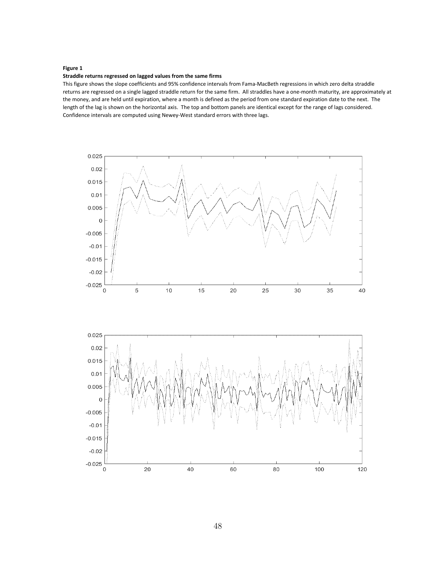#### **Figure 1**

#### **Straddle returns regressed on lagged values from the same firms**

This figure shows the slope coefficients and 95% confidence intervals from Fama-MacBeth regressions in which zero delta straddle returns are regressed on a single lagged straddle return for the same firm. All straddles have a one-month maturity, are approximately at the money, and are held until expiration, where a month is defined as the period from one standard expiration date to the next. The length of the lag is shown on the horizontal axis. The top and bottom panels are identical except for the range of lags considered. Confidence intervals are computed using Newey-West standard errors with three lags.

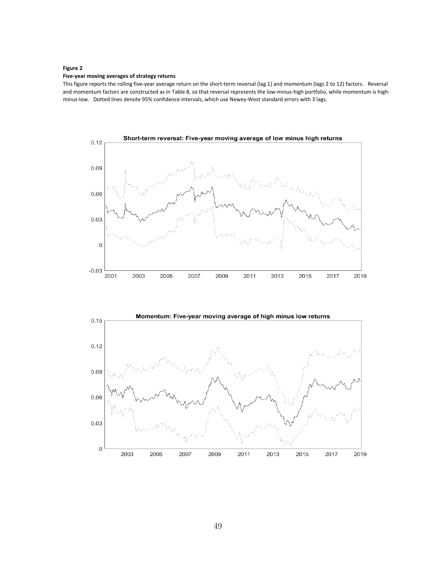#### **Figure 2**

#### **Five-year moving averages of strategy returns**

This figure reports the rolling five-year average return on the short-term reversal (lag 1) and momentum (lags 2 to 12) factors. Reversal and momentum factors are constructed as in Table 8, so that reversal represents the low-minus-high portfolio, while momentum is highminus-low. Dotted lines denote 95% confidence intervals, which use Newey-West standard errors with 3 lags.



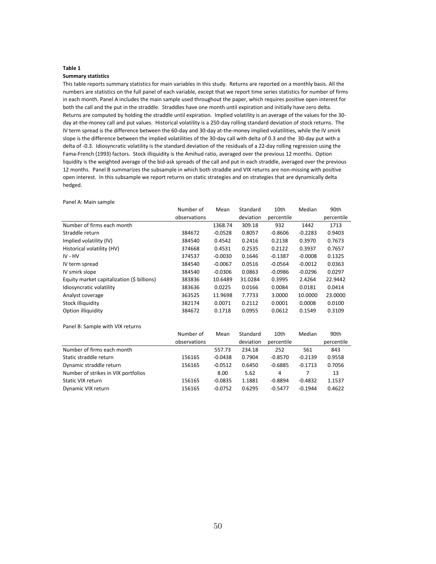#### **Summary statistics**

This table reports summary statistics for main variables in this study. Returns are reported on a monthly basis. All the numbers are statistics on the full panel of each variable, except that we report time series statistics for number of firms in each month. Panel A includes the main sample used throughout the paper, which requires positive open interest for both the call and the put in the straddle. Straddles have one month until expiration and initially have zero delta. Returns are computed by holding the straddle until expiration. Implied volatility is an average of the values for the 30 day at-the-money call and put values. Historical volatility is a 250-day rolling standard deviation of stock returns. The IV term spread is the difference between the 60-day and 30-day at-the-money implied volatilities, while the IV smirk slope is the difference between the implied volatilities of the 30-day call with delta of 0.3 and the 30-day put with a delta of -0.3. Idiosyncratic volatility is the standard deviation of the residuals of a 22-day rolling regression using the Fama-French (1993) factors. Stock illiquidity is the Amihud ratio, averaged over the previous 12 months. Option liquidity is the weighted average of the bid-ask spreads of the call and put in each straddle, averaged over the previous 12 months. Panel B summarizes the subsample in which both straddle and VIX returns are non-missing with positive open interest. In this subsample we report returns on static strategies and on strategies that are dynamically delta hedged.

Panel A: Main sample Number of Mean Standard 10th Median 90th observations deviation percentile percentile Number of firms each month 1368.74 309.18 932 1442 1713 Straddle return 384672 -0.0528 0.8057 -0.8606 -0.2283 0.9403 Implied volatility (IV) 384540 0.4542 0.2416 0.2138 0.3970 0.7673 Historical volatility (HV) 374668 0.4531 0.2535 0.2122 0.3937 0.7657 IV - HV 374537 -0.0030 0.1646 -0.1387 -0.0008 0.1325 IV term spread 384540 -0.0067 0.0516 -0.0564 -0.0012 0.0363 IV smirk slope 384540 -0.0306 0.0863 -0.0986 -0.0296 0.0297 Equity market capitalization (\$ billions) 383836 10.6489 31.0284 0.3995 2.4264 22.9442 Idiosyncratic volatility 383636 0.0225 0.0166 0.0084 0.0181 0.0414 Analyst coverage 363525 11.9698 7.7733 3.0000 10.0000 23.0000 Stock illiquidity 382174 0.0071 0.2112 0.0001 0.0008 0.0100 Option illiquidity 384672 0.1718 0.0955 0.0612 0.1549 0.3109 Panel B: Sample with VIX returns Number of Mean Standard 10th Median 90th observations deviation percentile percentile Number of firms each month 557.73 234.18 252 561 843 Static straddle return 156165 -0.0438 0.7904 -0.8570 -0.2139 0.9558 Dynamic straddle return 156165 -0.0512 0.6450 -0.6885 -0.1713 0.7056 Number of strikes in VIX portfolios 13 Static VIX return 156165 -0.0835 1.1881 -0.8894 -0.4832 1.1537 Dynamic VIX return 156165 -0.0752 0.6295 -0.5477 -0.1944 0.4622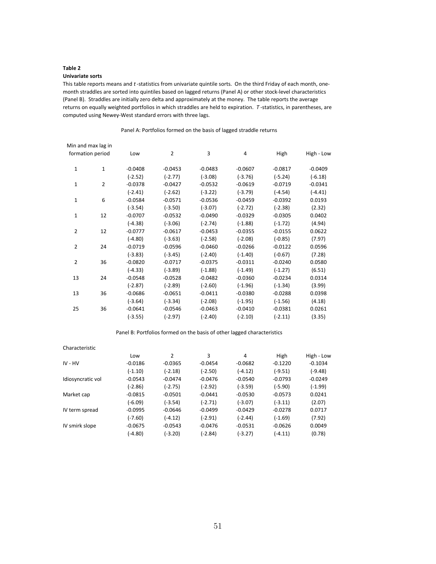## **Univariate sorts**

This table reports means and *t* -statistics from univariate quintile sorts. On the third Friday of each month, onemonth straddles are sorted into quintiles based on lagged returns (Panel A) or other stock-level characteristics (Panel B). Straddles are initially zero delta and approximately at the money. The table reports the average returns on equally weighted portfolios in which straddles are held to expiration. *T* -statistics, in parentheses, are computed using Newey-West standard errors with three lags.

Panel A: Portfolios formed on the basis of lagged straddle returns

|                | Min and max lag in |           |                |           |           |           |            |
|----------------|--------------------|-----------|----------------|-----------|-----------|-----------|------------|
|                | formation period   | Low       | $\overline{2}$ | 3         | 4         | High      | High - Low |
| $\mathbf 1$    | $\mathbf{1}$       | $-0.0408$ | $-0.0453$      | $-0.0483$ | $-0.0607$ | $-0.0817$ | $-0.0409$  |
|                |                    | $(-2.52)$ | $(-2.77)$      | $(-3.08)$ | $(-3.76)$ | $(-5.24)$ | $(-6.18)$  |
| $\mathbf{1}$   | $\overline{2}$     | $-0.0378$ | $-0.0427$      | $-0.0532$ | $-0.0619$ | $-0.0719$ | $-0.0341$  |
|                |                    | $(-2.41)$ | $(-2.62)$      | $(-3.22)$ | $(-3.79)$ | $(-4.54)$ | $(-4.41)$  |
| $\mathbf 1$    | 6                  | $-0.0584$ | $-0.0571$      | $-0.0536$ | $-0.0459$ | $-0.0392$ | 0.0193     |
|                |                    | $(-3.54)$ | $(-3.50)$      | $(-3.07)$ | $(-2.72)$ | $(-2.38)$ | (2.32)     |
| $\mathbf 1$    | 12                 | $-0.0707$ | $-0.0532$      | $-0.0490$ | $-0.0329$ | $-0.0305$ | 0.0402     |
|                |                    | $(-4.38)$ | $(-3.06)$      | $(-2.74)$ | $(-1.88)$ | $(-1.72)$ | (4.94)     |
| $\overline{2}$ | 12                 | $-0.0777$ | $-0.0617$      | $-0.0453$ | $-0.0355$ | $-0.0155$ | 0.0622     |
|                |                    | $(-4.80)$ | $(-3.63)$      | $(-2.58)$ | $(-2.08)$ | $(-0.85)$ | (7.97)     |
| $\overline{2}$ | 24                 | $-0.0719$ | $-0.0596$      | $-0.0460$ | $-0.0266$ | $-0.0122$ | 0.0596     |
|                |                    | $(-3.83)$ | $(-3.45)$      | $(-2.40)$ | $(-1.40)$ | $(-0.67)$ | (7.28)     |
| 2              | 36                 | $-0.0820$ | $-0.0717$      | $-0.0375$ | $-0.0311$ | $-0.0240$ | 0.0580     |
|                |                    | $(-4.33)$ | $(-3.89)$      | $(-1.88)$ | $(-1.49)$ | $(-1.27)$ | (6.51)     |
| 13             | 24                 | $-0.0548$ | $-0.0528$      | $-0.0482$ | $-0.0360$ | $-0.0234$ | 0.0314     |
|                |                    | $(-2.87)$ | $(-2.89)$      | $(-2.60)$ | $(-1.96)$ | $(-1.34)$ | (3.99)     |
| 13             | 36                 | $-0.0686$ | $-0.0651$      | $-0.0411$ | $-0.0380$ | $-0.0288$ | 0.0398     |
|                |                    | $(-3.64)$ | $(-3.34)$      | $(-2.08)$ | $(-1.95)$ | $(-1.56)$ | (4.18)     |
| 25             | 36                 | $-0.0641$ | $-0.0546$      | $-0.0463$ | $-0.0410$ | $-0.0381$ | 0.0261     |
|                |                    | $(-3.55)$ | $(-2.97)$      | $(-2.40)$ | $(-2.10)$ | $(-2.11)$ | (3.35)     |
|                |                    |           |                |           |           |           |            |

Panel B: Portfolios formed on the basis of other lagged characteristics

| Characteristic    |           |           |           |           |           |            |
|-------------------|-----------|-----------|-----------|-----------|-----------|------------|
|                   | Low       | 2         | 3         | 4         | High      | High - Low |
| $IV - HV$         | $-0.0186$ | $-0.0365$ | $-0.0454$ | $-0.0682$ | $-0.1220$ | $-0.1034$  |
|                   | $(-1.10)$ | $(-2.18)$ | $(-2.50)$ | $(-4.12)$ | $(-9.51)$ | (-9.48)    |
| Idiosyncratic vol | $-0.0543$ | $-0.0474$ | $-0.0476$ | $-0.0540$ | $-0.0793$ | $-0.0249$  |
|                   | $(-2.86)$ | $(-2.75)$ | $(-2.92)$ | $(-3.59)$ | $(-5.90)$ | $(-1.99)$  |
| Market cap        | $-0.0815$ | $-0.0501$ | $-0.0441$ | $-0.0530$ | $-0.0573$ | 0.0241     |
|                   | $(-6.09)$ | $(-3.54)$ | $(-2.71)$ | $(-3.07)$ | $(-3.11)$ | (2.07)     |
| IV term spread    | $-0.0995$ | $-0.0646$ | $-0.0499$ | $-0.0429$ | $-0.0278$ | 0.0717     |
|                   | $(-7.60)$ | $(-4.12)$ | $(-2.91)$ | $(-2.44)$ | $(-1.69)$ | (7.92)     |
| IV smirk slope    | $-0.0675$ | $-0.0543$ | $-0.0476$ | $-0.0531$ | $-0.0626$ | 0.0049     |
|                   | (-4.80)   | (-3.20)   | $(-2.84)$ | (-3.27)   | $(-4.11)$ | (0.78)     |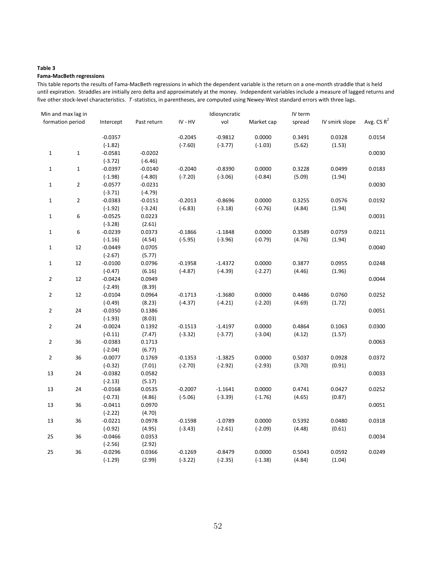#### **Fama-MacBeth regressions**

This table reports the results of Fama-MacBeth regressions in which the dependent variable is the return on a one-month straddle that is held until expiration. Straddles are initially zero delta and approximately at the money. Independent variables include a measure of lagged returns and five other stock-level characteristics. *T* -statistics, in parentheses, are computed using Newey-West standard errors with three lags.

| Min and max lag in |                  |           |             |           | Idiosyncratic |            | IV term |                |               |  |
|--------------------|------------------|-----------|-------------|-----------|---------------|------------|---------|----------------|---------------|--|
|                    | formation period | Intercept | Past return | IV - HV   | vol           | Market cap | spread  | IV smirk slope | Avg. CS $R^2$ |  |
|                    |                  | $-0.0357$ |             | $-0.2045$ | $-0.9812$     | 0.0000     | 0.3491  | 0.0328         | 0.0154        |  |
|                    |                  | $(-1.82)$ |             | $(-7.60)$ | $(-3.77)$     | $(-1.03)$  | (5.62)  | (1.53)         |               |  |
| $\mathbf 1$        | $\mathbf 1$      | $-0.0581$ | $-0.0202$   |           |               |            |         |                | 0.0030        |  |
|                    |                  | $(-3.72)$ | $(-6.46)$   |           |               |            |         |                |               |  |
| $\mathbf{1}$       | $\mathbf{1}$     | $-0.0397$ | $-0.0140$   | $-0.2040$ | $-0.8390$     | 0.0000     | 0.3228  | 0.0499         | 0.0183        |  |
|                    |                  | $(-1.98)$ | $(-4.80)$   | $(-7.20)$ | $(-3.06)$     | $(-0.84)$  | (5.09)  | (1.94)         |               |  |
| $\mathbf{1}$       | $\mathbf 2$      | $-0.0577$ | $-0.0231$   |           |               |            |         |                | 0.0030        |  |
|                    |                  | $(-3.71)$ | $(-4.79)$   |           |               |            |         |                |               |  |
| $\mathbf{1}$       | $\mathbf 2$      | $-0.0383$ | $-0.0151$   | $-0.2013$ | $-0.8696$     | 0.0000     | 0.3255  | 0.0576         | 0.0192        |  |
|                    |                  | $(-1.92)$ | $(-3.24)$   | $(-6.83)$ | $(-3.18)$     | $(-0.76)$  | (4.84)  | (1.94)         |               |  |
| $\mathbf 1$        | 6                | $-0.0525$ | 0.0223      |           |               |            |         |                | 0.0031        |  |
|                    |                  | $(-3.28)$ | (2.61)      |           |               |            |         |                |               |  |
| $\mathbf{1}$       | $\boldsymbol{6}$ | $-0.0239$ | 0.0373      | $-0.1866$ | $-1.1848$     | 0.0000     | 0.3589  | 0.0759         | 0.0211        |  |
|                    |                  | $(-1.16)$ | (4.54)      | $(-5.95)$ | $(-3.96)$     | $(-0.79)$  | (4.76)  | (1.94)         |               |  |
| $\mathbf{1}$       | 12               | $-0.0449$ | 0.0705      |           |               |            |         |                | 0.0040        |  |
|                    |                  | $(-2.67)$ | (5.77)      |           |               |            |         |                |               |  |
| $\mathbf 1$        | 12               | $-0.0100$ | 0.0796      | $-0.1958$ | $-1.4372$     | 0.0000     | 0.3877  | 0.0955         | 0.0248        |  |
|                    |                  | $(-0.47)$ | (6.16)      | $(-4.87)$ | $(-4.39)$     | $(-2.27)$  | (4.46)  | (1.96)         |               |  |
| $\overline{2}$     | 12               | $-0.0424$ | 0.0949      |           |               |            |         |                | 0.0044        |  |
|                    |                  | $(-2.49)$ | (8.39)      |           |               |            |         |                |               |  |
| $\overline{2}$     | 12               | $-0.0104$ | 0.0964      | $-0.1713$ | $-1.3680$     | 0.0000     | 0.4486  | 0.0760         | 0.0252        |  |
|                    |                  | $(-0.49)$ | (8.23)      | $(-4.37)$ | $(-4.21)$     | $(-2.20)$  | (4.69)  | (1.72)         |               |  |
| $\overline{2}$     | 24               | $-0.0350$ | 0.1386      |           |               |            |         |                | 0.0051        |  |
|                    |                  | $(-1.93)$ | (8.03)      |           |               |            |         |                |               |  |
| $\overline{2}$     | 24               | $-0.0024$ | 0.1392      | $-0.1513$ | $-1.4197$     | 0.0000     | 0.4864  | 0.1063         | 0.0300        |  |
|                    |                  | $(-0.11)$ | (7.47)      | $(-3.32)$ | $(-3.77)$     | $(-3.04)$  | (4.12)  | (1.57)         |               |  |
| $\overline{2}$     | 36               | $-0.0383$ | 0.1713      |           |               |            |         |                | 0.0063        |  |
|                    |                  | $(-2.04)$ | (6.77)      |           |               |            |         |                |               |  |
| $\overline{2}$     | 36               | $-0.0077$ | 0.1769      | $-0.1353$ | $-1.3825$     | 0.0000     | 0.5037  | 0.0928         | 0.0372        |  |
|                    |                  | $(-0.32)$ | (7.01)      | $(-2.70)$ | $(-2.92)$     | $(-2.93)$  | (3.70)  | (0.91)         |               |  |
| 13                 | 24               | $-0.0382$ | 0.0582      |           |               |            |         |                | 0.0033        |  |
|                    |                  | $(-2.13)$ | (5.17)      |           |               |            |         |                |               |  |
| 13                 | 24               | $-0.0168$ | 0.0535      | $-0.2007$ | $-1.1641$     | 0.0000     | 0.4741  | 0.0427         | 0.0252        |  |
|                    |                  | $(-0.73)$ | (4.86)      | $(-5.06)$ | $(-3.39)$     | $(-1.76)$  | (4.65)  | (0.87)         |               |  |
| 13                 | 36               | $-0.0411$ | 0.0970      |           |               |            |         |                | 0.0051        |  |
|                    |                  | $(-2.22)$ | (4.70)      |           |               |            |         |                |               |  |
| 13                 | 36               | $-0.0221$ | 0.0978      | $-0.1598$ | $-1.0789$     | 0.0000     | 0.5392  | 0.0480         | 0.0318        |  |
|                    |                  | $(-0.92)$ | (4.95)      | $(-3.43)$ | $(-2.61)$     | $(-2.09)$  | (4.48)  | (0.61)         |               |  |
| 25                 | 36               | $-0.0466$ | 0.0353      |           |               |            |         |                | 0.0034        |  |
|                    |                  | $(-2.56)$ | (2.92)      |           |               |            |         |                |               |  |
| 25                 | 36               | $-0.0296$ | 0.0366      | $-0.1269$ | $-0.8479$     | 0.0000     | 0.5043  | 0.0592         | 0.0249        |  |
|                    |                  | $(-1.29)$ | (2.99)      | $(-3.22)$ | $(-2.35)$     | $(-1.38)$  | (4.84)  | (1.04)         |               |  |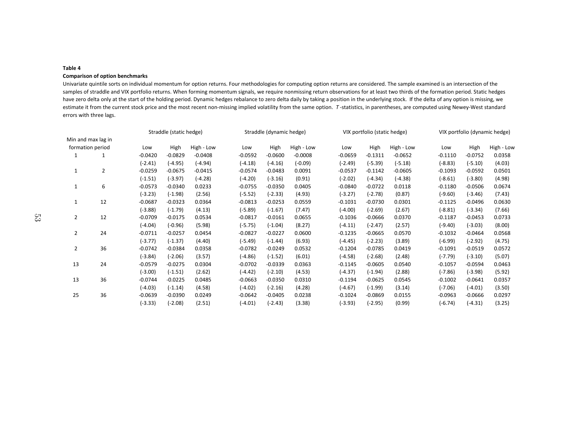## **Comparison of option benchmarks**

 Univariate quintile sorts on individual momentum for option returns. Four methodologies for computing option returns are considered. The sample examined is an intersection of the samples of straddle and VIX portfolio returns. When forming momentum signals, we require nonmissing return observations for at least two thirds of the formation period. Static hedges have zero delta only at the start of the holding period. Dynamic hedges rebalance to zero delta daily by taking a position in the underlying stock. If the delta of any option is missing, we estimate it from the current stock price and the most recent non-missing implied volatility from the same option. *T* -statistics, in parentheses, are computed using Newey-West standard errors with three lags.

|                |                    |           | Straddle (static hedge) |            | Straddle (dynamic hedge) |           | VIX portfolio (static hedge) |           |           | VIX portfolio (dynamic hedge) |           |           |            |
|----------------|--------------------|-----------|-------------------------|------------|--------------------------|-----------|------------------------------|-----------|-----------|-------------------------------|-----------|-----------|------------|
|                | Min and max lag in |           |                         |            |                          |           |                              |           |           |                               |           |           |            |
|                | formation period   | Low       | High                    | High - Low | Low                      | High      | High - Low                   | Low       | High      | High - Low                    | Low       | High      | High - Low |
| 1              |                    | $-0.0420$ | $-0.0829$               | $-0.0408$  | $-0.0592$                | $-0.0600$ | $-0.0008$                    | $-0.0659$ | $-0.1311$ | $-0.0652$                     | $-0.1110$ | $-0.0752$ | 0.0358     |
|                |                    | $(-2.41)$ | $(-4.95)$               | $(-4.94)$  | $(-4.18)$                | $(-4.16)$ | $(-0.09)$                    | $(-2.49)$ | $(-5.39)$ | $(-5.18)$                     | $(-8.83)$ | $(-5.10)$ | (4.03)     |
| 1              | $\overline{2}$     | $-0.0259$ | $-0.0675$               | $-0.0415$  | $-0.0574$                | $-0.0483$ | 0.0091                       | $-0.0537$ | $-0.1142$ | $-0.0605$                     | $-0.1093$ | $-0.0592$ | 0.0501     |
|                |                    | $(-1.51)$ | $(-3.97)$               | $(-4.28)$  | $(-4.20)$                | $(-3.16)$ | (0.91)                       | $(-2.02)$ | $(-4.34)$ | $(-4.38)$                     | $(-8.61)$ | $(-3.80)$ | (4.98)     |
| 1              | 6                  | $-0.0573$ | $-0.0340$               | 0.0233     | $-0.0755$                | $-0.0350$ | 0.0405                       | $-0.0840$ | $-0.0722$ | 0.0118                        | $-0.1180$ | $-0.0506$ | 0.0674     |
|                |                    | $(-3.23)$ | $(-1.98)$               | (2.56)     | $(-5.52)$                | $(-2.33)$ | (4.93)                       | $(-3.27)$ | $(-2.78)$ | (0.87)                        | $(-9.60)$ | $(-3.46)$ | (7.43)     |
| 1              | 12                 | $-0.0687$ | $-0.0323$               | 0.0364     | $-0.0813$                | $-0.0253$ | 0.0559                       | $-0.1031$ | $-0.0730$ | 0.0301                        | $-0.1125$ | $-0.0496$ | 0.0630     |
|                |                    | $(-3.88)$ | $(-1.79)$               | (4.13)     | $(-5.89)$                | $(-1.67)$ | (7.47)                       | $(-4.00)$ | $(-2.69)$ | (2.67)                        | $(-8.81)$ | $(-3.34)$ | (7.66)     |
| 2              | 12                 | $-0.0709$ | $-0.0175$               | 0.0534     | $-0.0817$                | $-0.0161$ | 0.0655                       | $-0.1036$ | $-0.0666$ | 0.0370                        | $-0.1187$ | $-0.0453$ | 0.0733     |
|                |                    | $(-4.04)$ | $(-0.96)$               | (5.98)     | $(-5.75)$                | $(-1.04)$ | (8.27)                       | $(-4.11)$ | $(-2.47)$ | (2.57)                        | $(-9.40)$ | $(-3.03)$ | (8.00)     |
| 2              | 24                 | $-0.0711$ | $-0.0257$               | 0.0454     | $-0.0827$                | $-0.0227$ | 0.0600                       | $-0.1235$ | $-0.0665$ | 0.0570                        | $-0.1032$ | $-0.0464$ | 0.0568     |
|                |                    | $(-3.77)$ | $(-1.37)$               | (4.40)     | $(-5.49)$                | $(-1.44)$ | (6.93)                       | $(-4.45)$ | $(-2.23)$ | (3.89)                        | $(-6.99)$ | $(-2.92)$ | (4.75)     |
| $\overline{2}$ | 36                 | $-0.0742$ | $-0.0384$               | 0.0358     | $-0.0782$                | $-0.0249$ | 0.0532                       | $-0.1204$ | $-0.0785$ | 0.0419                        | $-0.1091$ | $-0.0519$ | 0.0572     |
|                |                    | $(-3.84)$ | $(-2.06)$               | (3.57)     | $(-4.86)$                | $(-1.52)$ | (6.01)                       | $(-4.58)$ | $(-2.68)$ | (2.48)                        | $(-7.79)$ | $(-3.10)$ | (5.07)     |
| 13             | 24                 | $-0.0579$ | $-0.0275$               | 0.0304     | $-0.0702$                | $-0.0339$ | 0.0363                       | $-0.1145$ | $-0.0605$ | 0.0540                        | $-0.1057$ | $-0.0594$ | 0.0463     |
|                |                    | $(-3.00)$ | $(-1.51)$               | (2.62)     | $(-4.42)$                | $(-2.10)$ | (4.53)                       | $(-4.37)$ | $(-1.94)$ | (2.88)                        | $(-7.86)$ | $(-3.98)$ | (5.92)     |
| 13             | 36                 | $-0.0744$ | $-0.0225$               | 0.0485     | $-0.0663$                | $-0.0350$ | 0.0310                       | $-0.1194$ | $-0.0625$ | 0.0545                        | $-0.1002$ | $-0.0641$ | 0.0357     |
|                |                    | $(-4.03)$ | $(-1.14)$               | (4.58)     | $(-4.02)$                | $(-2.16)$ | (4.28)                       | $(-4.67)$ | $(-1.99)$ | (3.14)                        | $(-7.06)$ | $(-4.01)$ | (3.50)     |
| 25             | 36                 | $-0.0639$ | $-0.0390$               | 0.0249     | $-0.0642$                | $-0.0405$ | 0.0238                       | $-0.1024$ | $-0.0869$ | 0.0155                        | $-0.0963$ | $-0.0666$ | 0.0297     |
|                |                    | $(-3.33)$ | $(-2.08)$               | (2.51)     | $(-4.01)$                | $(-2.43)$ | (3.38)                       | $(-3.93)$ | $(-2.95)$ | (0.99)                        | $(-6.74)$ | $(-4.31)$ | (3.25)     |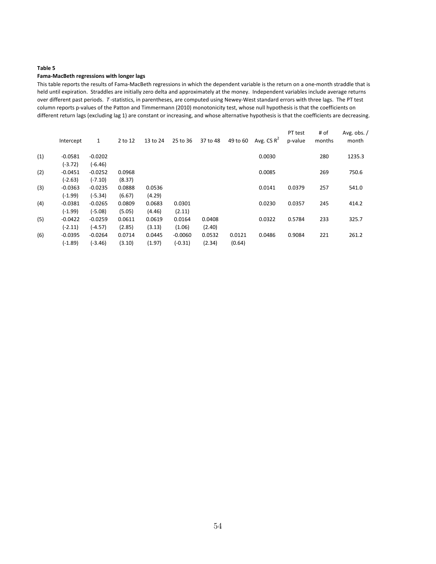#### **Fama-MacBeth regressions with longer lags**

This table reports the results of Fama-MacBeth regressions in which the dependent variable is the return on a one-month straddle that is held until expiration. Straddles are initially zero delta and approximately at the money. Independent variables include average returns over different past periods. *T* -statistics, in parentheses, are computed using Newey-West standard errors with three lags. The PT test column reports p-values of the Patton and Timmermann (2010) monotonicity test, whose null hypothesis is that the coefficients on different return lags (excluding lag 1) are constant or increasing, and whose alternative hypothesis is that the coefficients are decreasing.

|     | Intercept | 1         | 2 to 12 | 13 to 24 | 25 to 36  | 37 to 48 | 49 to 60 | Avg. CS $R^2$ | PT test<br>p-value | # of<br>months | Avg. obs. $/$<br>month |
|-----|-----------|-----------|---------|----------|-----------|----------|----------|---------------|--------------------|----------------|------------------------|
| (1) | $-0.0581$ | $-0.0202$ |         |          |           |          |          | 0.0030        |                    | 280            | 1235.3                 |
|     | $(-3.72)$ | $(-6.46)$ |         |          |           |          |          |               |                    |                |                        |
| (2) | $-0.0451$ | $-0.0252$ | 0.0968  |          |           |          |          | 0.0085        |                    | 269            | 750.6                  |
|     | (-2.63)   | $(-7.10)$ | (8.37)  |          |           |          |          |               |                    |                |                        |
| (3) | $-0.0363$ | $-0.0235$ | 0.0888  | 0.0536   |           |          |          | 0.0141        | 0.0379             | 257            | 541.0                  |
|     | $(-1.99)$ | $(-5.34)$ | (6.67)  | (4.29)   |           |          |          |               |                    |                |                        |
| (4) | $-0.0381$ | $-0.0265$ | 0.0809  | 0.0683   | 0.0301    |          |          | 0.0230        | 0.0357             | 245            | 414.2                  |
|     | $(-1.99)$ | $(-5.08)$ | (5.05)  | (4.46)   | (2.11)    |          |          |               |                    |                |                        |
| (5) | $-0.0422$ | $-0.0259$ | 0.0611  | 0.0619   | 0.0164    | 0.0408   |          | 0.0322        | 0.5784             | 233            | 325.7                  |
|     | (-2.11)   | $(-4.57)$ | (2.85)  | (3.13)   | (1.06)    | (2.40)   |          |               |                    |                |                        |
| (6) | $-0.0395$ | $-0.0264$ | 0.0714  | 0.0445   | $-0.0060$ | 0.0532   | 0.0121   | 0.0486        | 0.9084             | 221            | 261.2                  |
|     | $(-1.89)$ | $(-3.46)$ | (3.10)  | (1.97)   | $(-0.31)$ | (2.34)   | (0.64)   |               |                    |                |                        |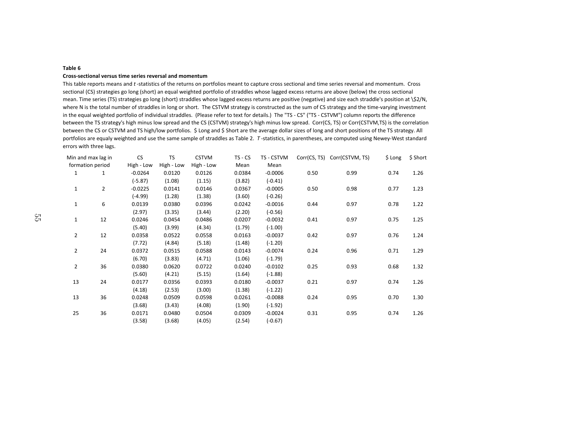#### **Table 6Cross-sectional versus time series reversal and momentum**

 This table reports means and *t* -statistics of the returns on portfolios meant to capture cross sectional and time series reversal and momentum. Cross sectional (CS) strategies go long (short) an equal weighted portfolio of straddles whose lagged excess returns are above (below) the cross sectional mean. Time series (TS) strategies go long (short) straddles whose lagged excess returns are positive (negative) and size each straddle's position at \\$2/N, where N is the total number of straddles in long or short. The CSTVM strategy is constructed as the sum of CS strategy and the time-varying investment in the equal weighted portfolio of individual straddles. (Please refer to text for details.) The "TS - CS" ("TS - CSTVM") column reports the difference between the TS strategy's high minus low spread and the CS (CSTVM) strategy's high minus low spread. Corr(CS, TS) or Corr(CSTVM,TS) is the correlation between the CS or CSTVM and TS high/low portfolios. \$ Long and \$ Short are the average dollar sizes of long and short positions of the TS strategy. All portfolios are equaly weighted and use the same sample of straddles as Table 2. *T* -statistics, in parentheses, are computed using Newey-West standard errors with three lags.

| Min and max lag in |                | <b>CS</b>  | TS         | <b>CSTVM</b> | TS - CS | TS - CSTVM | Corr(CS, TS) | Corr(CSTVM, TS) | \$ Long | \$ Short |
|--------------------|----------------|------------|------------|--------------|---------|------------|--------------|-----------------|---------|----------|
| formation period   |                | High - Low | High - Low | High - Low   | Mean    | Mean       |              |                 |         |          |
| 1                  | 1              | $-0.0264$  | 0.0120     | 0.0126       | 0.0384  | $-0.0006$  | 0.50         | 0.99            | 0.74    | 1.26     |
|                    |                | $(-5.87)$  | (1.08)     | (1.15)       | (3.82)  | $(-0.41)$  |              |                 |         |          |
| $\mathbf 1$        | $\overline{2}$ | $-0.0225$  | 0.0141     | 0.0146       | 0.0367  | $-0.0005$  | 0.50         | 0.98            | 0.77    | 1.23     |
|                    |                | $(-4.99)$  | (1.28)     | (1.38)       | (3.60)  | $(-0.26)$  |              |                 |         |          |
| $\mathbf{1}$       | 6              | 0.0139     | 0.0380     | 0.0396       | 0.0242  | $-0.0016$  | 0.44         | 0.97            | 0.78    | 1.22     |
|                    |                | (2.97)     | (3.35)     | (3.44)       | (2.20)  | $(-0.56)$  |              |                 |         |          |
| 1                  | 12             | 0.0246     | 0.0454     | 0.0486       | 0.0207  | $-0.0032$  | 0.41         | 0.97            | 0.75    | 1.25     |
|                    |                | (5.40)     | (3.99)     | (4.34)       | (1.79)  | $(-1.00)$  |              |                 |         |          |
| $\overline{2}$     | 12             | 0.0358     | 0.0522     | 0.0558       | 0.0163  | $-0.0037$  | 0.42         | 0.97            | 0.76    | 1.24     |
|                    |                | (7.72)     | (4.84)     | (5.18)       | (1.48)  | $(-1.20)$  |              |                 |         |          |
| $\overline{2}$     | 24             | 0.0372     | 0.0515     | 0.0588       | 0.0143  | $-0.0074$  | 0.24         | 0.96            | 0.71    | 1.29     |
|                    |                | (6.70)     | (3.83)     | (4.71)       | (1.06)  | $(-1.79)$  |              |                 |         |          |
| $\overline{2}$     | 36             | 0.0380     | 0.0620     | 0.0722       | 0.0240  | $-0.0102$  | 0.25         | 0.93            | 0.68    | 1.32     |
|                    |                | (5.60)     | (4.21)     | (5.15)       | (1.64)  | $(-1.88)$  |              |                 |         |          |
| 13                 | 24             | 0.0177     | 0.0356     | 0.0393       | 0.0180  | $-0.0037$  | 0.21         | 0.97            | 0.74    | 1.26     |
|                    |                | (4.18)     | (2.53)     | (3.00)       | (1.38)  | $(-1.22)$  |              |                 |         |          |
| 13                 | 36             | 0.0248     | 0.0509     | 0.0598       | 0.0261  | $-0.0088$  | 0.24         | 0.95            | 0.70    | 1.30     |
|                    |                | (3.68)     | (3.43)     | (4.08)       | (1.90)  | $(-1.92)$  |              |                 |         |          |
| 25                 | 36             | 0.0171     | 0.0480     | 0.0504       | 0.0309  | $-0.0024$  | 0.31         | 0.95            | 0.74    | 1.26     |
|                    |                | (3.58)     | (3.68)     | (4.05)       | (2.54)  | $(-0.67)$  |              |                 |         |          |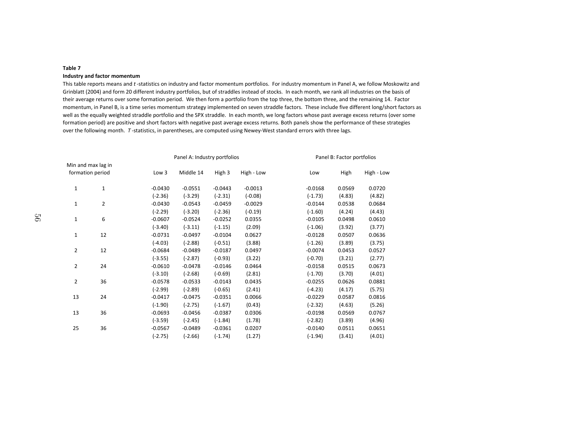#### **Table 7Industry and factor momentum**

 This table reports means and *t* -statistics on industry and factor momentum portfolios. For industry momentum in Panel A, we follow Moskowitz and Grinblatt (2004) and form 20 different industry portfolios, but of straddles instead of stocks. In each month, we rank all industries on the basis of their average returns over some formation period. We then form a portfolio from the top three, the bottom three, and the remaining 14. Factor momentum, in Panel B, is a time series momentum strategy implemented on seven straddle factors. These include five different long/short factors as well as the equally weighted straddle portfolio and the SPX straddle. In each month, we long factors whose past average excess returns (over some formation period) are positive and short factors with negative past average excess returns. Both panels show the performance of these strategies over the following month. *T* -statistics, in parentheses, are computed using Newey-West standard errors with three lags.

|              |                    |           | Panel A: Industry portfolios |           |            | Panel B: Factor portfolios |        |            |  |  |
|--------------|--------------------|-----------|------------------------------|-----------|------------|----------------------------|--------|------------|--|--|
|              | Min and max lag in |           |                              |           |            |                            |        |            |  |  |
|              | formation period   | Low 3     | Middle 14                    | High 3    | High - Low | Low                        | High   | High - Low |  |  |
| $\mathbf{1}$ | $\mathbf{1}$       | $-0.0430$ | $-0.0551$                    | $-0.0443$ | $-0.0013$  | $-0.0168$                  | 0.0569 | 0.0720     |  |  |
|              |                    | $(-2.36)$ | $(-3.29)$                    | $(-2.31)$ | $(-0.08)$  | $(-1.73)$                  | (4.83) | (4.82)     |  |  |
| 1            | $\overline{2}$     | $-0.0430$ | $-0.0543$                    | $-0.0459$ | $-0.0029$  | $-0.0144$                  | 0.0538 | 0.0684     |  |  |
|              |                    | $(-2.29)$ | $(-3.20)$                    | $(-2.36)$ | $(-0.19)$  | $(-1.60)$                  | (4.24) | (4.43)     |  |  |
| $\mathbf{1}$ | 6                  | $-0.0607$ | $-0.0524$                    | $-0.0252$ | 0.0355     | $-0.0105$                  | 0.0498 | 0.0610     |  |  |
|              |                    | $(-3.40)$ | $(-3.11)$                    | $(-1.15)$ | (2.09)     | $(-1.06)$                  | (3.92) | (3.77)     |  |  |
| $\mathbf{1}$ | 12                 | $-0.0731$ | $-0.0497$                    | $-0.0104$ | 0.0627     | $-0.0128$                  | 0.0507 | 0.0636     |  |  |
|              |                    | $(-4.03)$ | $(-2.88)$                    | $(-0.51)$ | (3.88)     | $(-1.26)$                  | (3.89) | (3.75)     |  |  |
| 2            | 12                 | $-0.0684$ | $-0.0489$                    | $-0.0187$ | 0.0497     | $-0.0074$                  | 0.0453 | 0.0527     |  |  |
|              |                    | $(-3.55)$ | $(-2.87)$                    | $(-0.93)$ | (3.22)     | $(-0.70)$                  | (3.21) | (2.77)     |  |  |
| 2            | 24                 | $-0.0610$ | $-0.0478$                    | $-0.0146$ | 0.0464     | $-0.0158$                  | 0.0515 | 0.0673     |  |  |
|              |                    | $(-3.10)$ | $(-2.68)$                    | $(-0.69)$ | (2.81)     | $(-1.70)$                  | (3.70) | (4.01)     |  |  |
| 2            | 36                 | $-0.0578$ | $-0.0533$                    | $-0.0143$ | 0.0435     | $-0.0255$                  | 0.0626 | 0.0881     |  |  |
|              |                    | $(-2.99)$ | $(-2.89)$                    | $(-0.65)$ | (2.41)     | $(-4.23)$                  | (4.17) | (5.75)     |  |  |
| 13           | 24                 | $-0.0417$ | $-0.0475$                    | $-0.0351$ | 0.0066     | $-0.0229$                  | 0.0587 | 0.0816     |  |  |
|              |                    | $(-1.90)$ | $(-2.75)$                    | $(-1.67)$ | (0.43)     | $(-2.32)$                  | (4.63) | (5.26)     |  |  |
| 13           | 36                 | $-0.0693$ | $-0.0456$                    | $-0.0387$ | 0.0306     | $-0.0198$                  | 0.0569 | 0.0767     |  |  |
|              |                    | $(-3.59)$ | $(-2.45)$                    | $(-1.84)$ | (1.78)     | $(-2.82)$                  | (3.89) | (4.96)     |  |  |
| 25           | 36                 | $-0.0567$ | $-0.0489$                    | $-0.0361$ | 0.0207     | $-0.0140$                  | 0.0511 | 0.0651     |  |  |
|              |                    | $(-2.75)$ | $(-2.66)$                    | $(-1.74)$ | (1.27)     | $(-1.94)$                  | (3.41) | (4.01)     |  |  |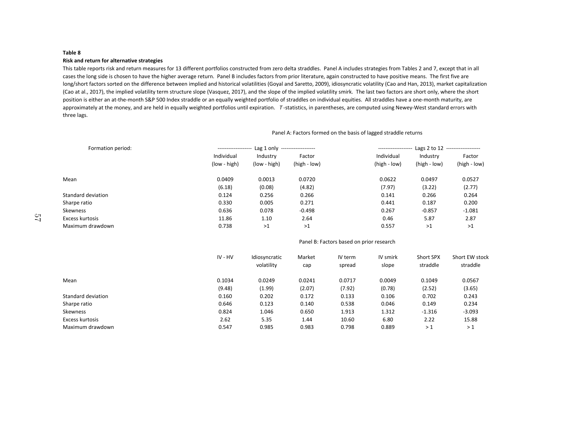#### **Table 8Risk and return for alternative strategies**

 This table reports risk and return measures for 13 different portfolios constructed from zero delta straddles. Panel A includes strategies from Tables 2 and 7, except that in all cases the long side is chosen to have the higher average return. Panel B includes factors from prior literature, again constructed to have positive means. The first five are long/short factors sorted on the difference between implied and historical volatilities (Goyal and Saretto, 2009), idiosyncratic volatility (Cao and Han, 2013), market capitalization (Cao at al., 2017), the implied volatility term structure slope (Vasquez, 2017), and the slope of the implied volatility smirk. The last two factors are short only, where the short position is either an at-the-month S&P 500 Index straddle or an equally weighted portfolio of straddles on individual equities. All straddles have a one-month maturity, are approximately at the money, and are held in equally weighted portfolios until expiration. *T* -statistics, in parentheses, are computed using Newey-West standard errors with three lags.

| Formation period:  | ------------------- | Lag 1 only ------------------- |              | Lags $2$ to $12$<br>--------------------<br>-------------------- |              |              |  |
|--------------------|---------------------|--------------------------------|--------------|------------------------------------------------------------------|--------------|--------------|--|
|                    | Individual          | Industry                       | Factor       | Individual                                                       | Industry     | Factor       |  |
|                    | (low - high)        | (low - high)                   | (high - low) | (high - low)                                                     | (high - low) | (high - low) |  |
| Mean               | 0.0409              | 0.0013                         | 0.0720       | 0.0622                                                           | 0.0497       | 0.0527       |  |
|                    | (6.18)              | (0.08)                         | (4.82)       | (7.97)                                                           | (3.22)       | (2.77)       |  |
| Standard deviation | 0.124               | 0.256                          | 0.266        | 0.141                                                            | 0.266        | 0.264        |  |
| Sharpe ratio       | 0.330               | 0.005                          | 0.271        | 0.441                                                            | 0.187        | 0.200        |  |
| Skewness           | 0.636               | 0.078                          | $-0.498$     | 0.267                                                            | $-0.857$     | $-1.081$     |  |
| Excess kurtosis    | 11.86               | 1.10                           | 2.64         | 0.46                                                             | 5.87         | 2.87         |  |
| Maximum drawdown   | 0.738               | >1                             | >1           | 0.557                                                            | >1           | >1           |  |

Panel A: Factors formed on the basis of lagged straddle returns

#### Panel B: Factors based on prior research

|                    | IV - HV | Idiosyncratic<br>volatility | Market<br>cap | IV term<br>spread | IV smirk<br>slope | Short SPX<br>straddle | Short EW stock<br>straddle |
|--------------------|---------|-----------------------------|---------------|-------------------|-------------------|-----------------------|----------------------------|
| Mean               | 0.1034  | 0.0249                      | 0.0241        | 0.0717            | 0.0049            | 0.1049                | 0.0567                     |
|                    | (9.48)  | (1.99)                      | (2.07)        | (7.92)            | (0.78)            | (2.52)                | (3.65)                     |
| Standard deviation | 0.160   | 0.202                       | 0.172         | 0.133             | 0.106             | 0.702                 | 0.243                      |
| Sharpe ratio       | 0.646   | 0.123                       | 0.140         | 0.538             | 0.046             | 0.149                 | 0.234                      |
| Skewness           | 0.824   | 1.046                       | 0.650         | 1.913             | 1.312             | $-1.316$              | $-3.093$                   |
| Excess kurtosis    | 2.62    | 5.35                        | 1.44          | 10.60             | 6.80              | 2.22                  | 15.88                      |
| Maximum drawdown   | 0.547   | 0.985                       | 0.983         | 0.798             | 0.889             | >1                    | >1                         |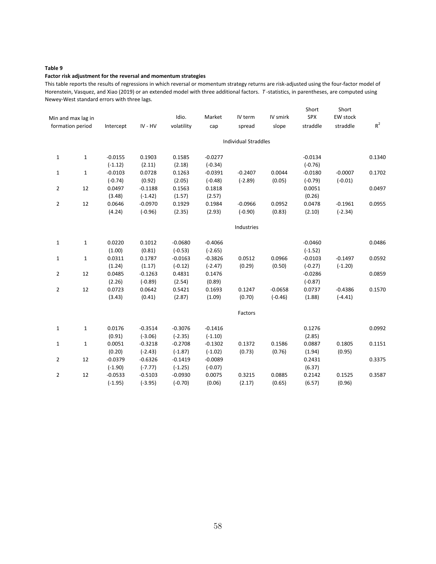# **Factor risk adjustment for the reversal and momentum strategies**

This table reports the results of regressions in which reversal or momentum strategy returns are risk-adjusted using the four-factor model of Horenstein, Vasquez, and Xiao (2019) or an extended model with three additional factors. *T* -statistics, in parentheses, are computed using Newey-West standard errors with three lags.

|                | Min and max lag in<br>formation period | Intercept | IV - HV   | Idio.<br>volatility | Market<br>cap | IV term<br>spread           | IV smirk<br>slope | Short<br>SPX<br>straddle | Short<br>EW stock<br>straddle | $R^2$  |
|----------------|----------------------------------------|-----------|-----------|---------------------|---------------|-----------------------------|-------------------|--------------------------|-------------------------------|--------|
|                |                                        |           |           |                     |               | <b>Individual Straddles</b> |                   |                          |                               |        |
| $\mathbf{1}$   | 1                                      | $-0.0155$ | 0.1903    | 0.1585              | $-0.0277$     |                             |                   | $-0.0134$                |                               | 0.1340 |
|                |                                        | $(-1.12)$ | (2.11)    | (2.18)              | $(-0.34)$     |                             |                   | $(-0.76)$                |                               |        |
| $\mathbf{1}$   | $\mathbf{1}$                           | $-0.0103$ | 0.0728    | 0.1263              | $-0.0391$     | $-0.2407$                   | 0.0044            | $-0.0180$                | $-0.0007$                     | 0.1702 |
|                |                                        | $(-0.74)$ | (0.92)    | (2.05)              | $(-0.48)$     | $(-2.89)$                   | (0.05)            | $(-0.79)$                | $(-0.01)$                     |        |
| $\overline{2}$ | 12                                     | 0.0497    | $-0.1188$ | 0.1563              | 0.1818        |                             |                   | 0.0051                   |                               | 0.0497 |
|                |                                        | (3.48)    | $(-1.42)$ | (1.57)              | (2.57)        |                             |                   | (0.26)                   |                               |        |
| $\overline{2}$ | 12                                     | 0.0646    | $-0.0970$ | 0.1929              | 0.1984        | $-0.0966$                   | 0.0952            | 0.0478                   | $-0.1961$                     | 0.0955 |
|                |                                        | (4.24)    | $(-0.96)$ | (2.35)              | (2.93)        | $(-0.90)$                   | (0.83)            | (2.10)                   | $(-2.34)$                     |        |
|                |                                        |           |           |                     |               | Industries                  |                   |                          |                               |        |
| $\mathbf{1}$   | $\mathbf{1}$                           | 0.0220    | 0.1012    | $-0.0680$           | $-0.4066$     |                             |                   | $-0.0460$                |                               | 0.0486 |
|                |                                        | (1.00)    | (0.81)    | $(-0.53)$           | $(-2.65)$     |                             |                   | $(-1.52)$                |                               |        |
| $\mathbf{1}$   | $\mathbf{1}$                           | 0.0311    | 0.1787    | $-0.0163$           | $-0.3826$     | 0.0512                      | 0.0966            | $-0.0103$                | $-0.1497$                     | 0.0592 |
|                |                                        | (1.24)    | (1.17)    | $(-0.12)$           | $(-2.47)$     | (0.29)                      | (0.50)            | $(-0.27)$                | $(-1.20)$                     |        |
| $\overline{2}$ | 12                                     | 0.0485    | $-0.1263$ | 0.4831              | 0.1476        |                             |                   | $-0.0286$                |                               | 0.0859 |
|                |                                        | (2.26)    | $(-0.89)$ | (2.54)              | (0.89)        |                             |                   | $(-0.87)$                |                               |        |
| $\overline{2}$ | 12                                     | 0.0723    | 0.0642    | 0.5421              | 0.1693        | 0.1247                      | $-0.0658$         | 0.0737                   | $-0.4386$                     | 0.1570 |
|                |                                        | (3.43)    | (0.41)    | (2.87)              | (1.09)        | (0.70)                      | $(-0.46)$         | (1.88)                   | $(-4.41)$                     |        |
|                |                                        |           |           |                     |               | Factors                     |                   |                          |                               |        |
| $\mathbf{1}$   | $\mathbf{1}$                           | 0.0176    | $-0.3514$ | $-0.3076$           | $-0.1416$     |                             |                   | 0.1276                   |                               | 0.0992 |
|                |                                        | (0.91)    | $(-3.06)$ | $(-2.35)$           | $(-1.10)$     |                             |                   | (2.85)                   |                               |        |
| $\mathbf{1}$   | $\mathbf{1}$                           | 0.0051    | $-0.3218$ | $-0.2708$           | $-0.1302$     | 0.1372                      | 0.1586            | 0.0887                   | 0.1805                        | 0.1151 |
|                |                                        | (0.20)    | $(-2.43)$ | $(-1.87)$           | $(-1.02)$     | (0.73)                      | (0.76)            | (1.94)                   | (0.95)                        |        |
| $\overline{2}$ | 12                                     | $-0.0379$ | $-0.6326$ | $-0.1419$           | $-0.0089$     |                             |                   | 0.2431                   |                               | 0.3375 |
|                |                                        | $(-1.90)$ | $(-7.77)$ | $(-1.25)$           | $(-0.07)$     |                             |                   | (6.37)                   |                               |        |
| $\overline{2}$ | 12                                     | $-0.0533$ | $-0.5103$ | $-0.0930$           | 0.0075        | 0.3215                      | 0.0885            | 0.2142                   | 0.1525                        | 0.3587 |
|                |                                        | $(-1.95)$ | $(-3.95)$ | $(-0.70)$           | (0.06)        | (2.17)                      | (0.65)            | (6.57)                   | (0.96)                        |        |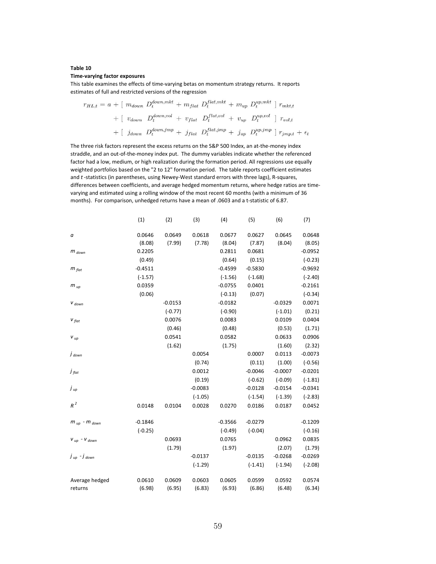#### **Time-varying factor exposures**

This table examines the effects of time-varying betas on momentum strategy returns. It reports estimates of full and restricted versions of the regression

$$
r_{HL,t} = a + [m_{down} D_t^{down,mkt} + m_{flat} D_t^{flat,mkt} + m_{up} D_t^{up,mkt}] r_{mkt,t}
$$

$$
+ [v_{down} D_t^{down,mpt} + v_{flat} D_t^{flat,mpt} + v_{up} D_t^{up,mpt}] r_{vol,t}
$$

$$
+ [j_{down} D_t^{down,imp} + j_{flat} D_t^{flat,imp} + j_{up} D_t^{up,imp}] r_{jmp,t} + \epsilon_t
$$

The three risk factors represent the excess returns on the S&P 500 Index, an at-the-money index straddle, and an out-of-the-money index put. The dummy variables indicate whether the referenced factor had a low, medium, or high realization during the formation period. All regressions use equally weighted portfolios based on the "2 to 12" formation period. The table reports coefficient estimates and *t* -statistics (in parentheses, using Newey-West standard errors with three lags), R-squares, differences between coefficients, and average hedged momentum returns, where hedge ratios are timevarying and estimated using a rolling window of the most recent 60 months (with a minimum of 36 months). For comparison, unhedged returns have a mean of .0603 and a t-statistic of 6.87.

|                                  | (1)       | (2)       | (3)       | (4)       | (5)       | (6)       | (7)       |
|----------------------------------|-----------|-----------|-----------|-----------|-----------|-----------|-----------|
| а                                | 0.0646    | 0.0649    | 0.0618    | 0.0677    | 0.0627    | 0.0645    | 0.0648    |
|                                  | (8.08)    | (7.99)    | (7.78)    | (8.04)    | (7.87)    | (8.04)    | (8.05)    |
| $m_{down}$                       | 0.2205    |           |           | 0.2811    | 0.0681    |           | $-0.0952$ |
|                                  | (0.49)    |           |           | (0.64)    | (0.15)    |           | $(-0.23)$ |
| $m_{flat}$                       | $-0.4511$ |           |           | $-0.4599$ | $-0.5830$ |           | $-0.9692$ |
|                                  | $(-1.57)$ |           |           | $(-1.56)$ | $(-1.68)$ |           | $(-2.40)$ |
| $m_{up}$                         | 0.0359    |           |           | $-0.0755$ | 0.0401    |           | $-0.2161$ |
|                                  | (0.06)    |           |           | $(-0.13)$ | (0.07)    |           | $(-0.34)$ |
| $V_{down}$                       |           | $-0.0153$ |           | $-0.0182$ |           | $-0.0329$ | 0.0071    |
|                                  |           | $(-0.77)$ |           | $(-0.90)$ |           | $(-1.01)$ | (0.21)    |
| $V_{flat}$                       |           | 0.0076    |           | 0.0083    |           | 0.0109    | 0.0404    |
|                                  |           | (0.46)    |           | (0.48)    |           | (0.53)    | (1.71)    |
| $V_{up}$                         |           | 0.0541    |           | 0.0582    |           | 0.0633    | 0.0906    |
|                                  |           | (1.62)    |           | (1.75)    |           | (1.60)    | (2.32)    |
| $\dot{J}$ down                   |           |           | 0.0054    |           | 0.0007    | 0.0113    | $-0.0073$ |
|                                  |           |           | (0.74)    |           | (0.11)    | (1.00)    | $(-0.56)$ |
| $\dot{J}$ flat                   |           |           | 0.0012    |           | $-0.0046$ | $-0.0007$ | $-0.0201$ |
|                                  |           |           | (0.19)    |           | $(-0.62)$ | $(-0.09)$ | $(-1.81)$ |
| j <sub>ир</sub>                  |           |           | $-0.0083$ |           | $-0.0128$ | $-0.0154$ | $-0.0341$ |
|                                  |           |           | $(-1.05)$ |           | $(-1.54)$ | $(-1.39)$ | $(-2.83)$ |
| $R^2$                            | 0.0148    | 0.0104    | 0.0028    | 0.0270    | 0.0186    | 0.0187    | 0.0452    |
| $m_{\mu\nu}$ - $m_{\text{down}}$ | $-0.1846$ |           |           | $-0.3566$ | $-0.0279$ |           | $-0.1209$ |
|                                  | $(-0.25)$ |           |           | $(-0.49)$ | $(-0.04)$ |           | $(-0.16)$ |
| $V_{up}$ - $V_{down}$            |           | 0.0693    |           | 0.0765    |           | 0.0962    | 0.0835    |
|                                  |           | (1.79)    |           | (1.97)    |           | (2.07)    | (1.79)    |
| $\int_{\mu}$ - $\int_{\mu}$ down |           |           | $-0.0137$ |           | $-0.0135$ | $-0.0268$ | $-0.0269$ |
|                                  |           |           | $(-1.29)$ |           | $(-1.41)$ | $(-1.94)$ | $(-2.08)$ |
| Average hedged                   | 0.0610    | 0.0609    | 0.0603    | 0.0605    | 0.0599    | 0.0592    | 0.0574    |
| returns                          | (6.98)    | (6.95)    | (6.83)    | (6.93)    | (6.86)    | (6.48)    | (6.34)    |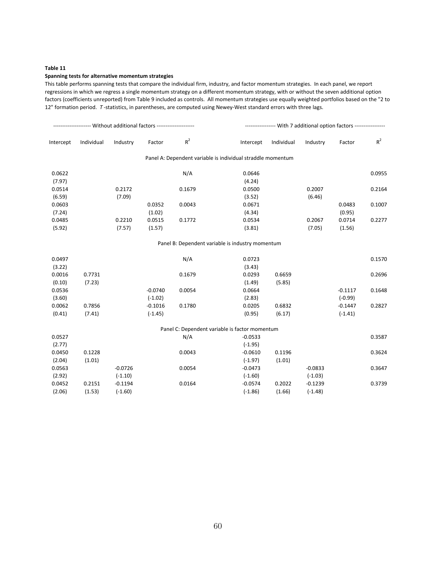#### **Spanning tests for alternative momentum strategies**

This table performs spanning tests that compare the individual firm, industry, and factor momentum strategies. In each panel, we report regressions in which we regress a single momentum strategy on a different momentum strategy, with or without the seven additional option factors (coefficients unreported) from Table 9 included as controls. All momentum strategies use equally weighted portfolios based on the "2 to 12" formation period. *T* -statistics, in parentheses, are computed using Newey-West standard errors with three lags.

| Intercept | Individual | Industry  | Factor    | $R^2$  | Intercept                                                   | Individual | Industry  | Factor    | $R^2$  |
|-----------|------------|-----------|-----------|--------|-------------------------------------------------------------|------------|-----------|-----------|--------|
|           |            |           |           |        | Panel A: Dependent variable is individual straddle momentum |            |           |           |        |
| 0.0622    |            |           |           | N/A    | 0.0646                                                      |            |           |           | 0.0955 |
| (7.97)    |            |           |           |        | (4.24)                                                      |            |           |           |        |
| 0.0514    |            | 0.2172    |           | 0.1679 | 0.0500                                                      |            | 0.2007    |           | 0.2164 |
| (6.59)    |            | (7.09)    |           |        | (3.52)                                                      |            | (6.46)    |           |        |
| 0.0603    |            |           | 0.0352    | 0.0043 | 0.0671                                                      |            |           | 0.0483    | 0.1007 |
| (7.24)    |            |           | (1.02)    |        | (4.34)                                                      |            |           | (0.95)    |        |
| 0.0485    |            | 0.2210    | 0.0515    | 0.1772 | 0.0534                                                      |            | 0.2067    | 0.0714    | 0.2277 |
| (5.92)    |            | (7.57)    | (1.57)    |        | (3.81)                                                      |            | (7.05)    | (1.56)    |        |
|           |            |           |           |        | Panel B: Dependent variable is industry momentum            |            |           |           |        |
| 0.0497    |            |           |           | N/A    | 0.0723                                                      |            |           |           | 0.1570 |
| (3.22)    |            |           |           |        | (3.43)                                                      |            |           |           |        |
| 0.0016    | 0.7731     |           |           | 0.1679 | 0.0293                                                      | 0.6659     |           |           | 0.2696 |
| (0.10)    | (7.23)     |           |           |        | (1.49)                                                      | (5.85)     |           |           |        |
| 0.0536    |            |           | $-0.0740$ | 0.0054 | 0.0664                                                      |            |           | $-0.1117$ | 0.1648 |
| (3.60)    |            |           | $(-1.02)$ |        | (2.83)                                                      |            |           | $(-0.99)$ |        |
| 0.0062    | 0.7856     |           | $-0.1016$ | 0.1780 | 0.0205                                                      | 0.6832     |           | $-0.1447$ | 0.2827 |
| (0.41)    | (7.41)     |           | $(-1.45)$ |        | (0.95)                                                      | (6.17)     |           | $(-1.41)$ |        |
|           |            |           |           |        | Panel C: Dependent variable is factor momentum              |            |           |           |        |
| 0.0527    |            |           |           | N/A    | $-0.0533$                                                   |            |           |           | 0.3587 |
| (2.77)    |            |           |           |        | $(-1.95)$                                                   |            |           |           |        |
| 0.0450    | 0.1228     |           |           | 0.0043 | $-0.0610$                                                   | 0.1196     |           |           | 0.3624 |
| (2.04)    | (1.01)     |           |           |        | $(-1.97)$                                                   | (1.01)     |           |           |        |
| 0.0563    |            | $-0.0726$ |           | 0.0054 | $-0.0473$                                                   |            | $-0.0833$ |           | 0.3647 |
| (2.92)    |            | $(-1.10)$ |           |        | $(-1.60)$                                                   |            | $(-1.03)$ |           |        |
| 0.0452    | 0.2151     | $-0.1194$ |           | 0.0164 | $-0.0574$                                                   | 0.2022     | $-0.1239$ |           | 0.3739 |
| (2.06)    | (1.53)     | $(-1.60)$ |           |        | $(-1.86)$                                                   | (1.66)     | $(-1.48)$ |           |        |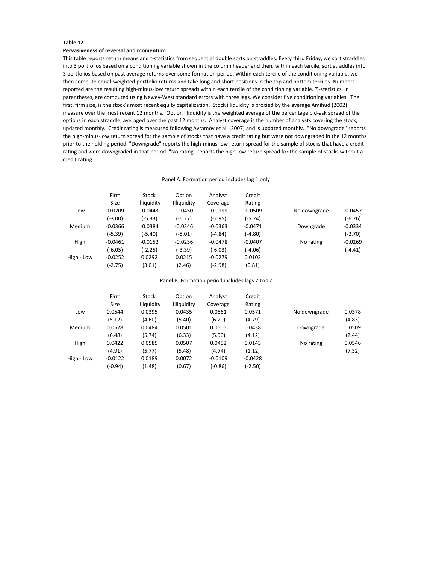#### **Pervasiveness of reversal and momentum**

This table reports return means and t-statistics from sequential double sorts on straddles. Every third Friday, we sort straddles into 3 portfolios based on a conditioning variable shown in the column header and then, within each tercile, sort straddles into 3 portfolios based on past average returns over some formation period. Within each tercile of the conditioning variable, we then compute equal-weighted portfolio returns and take long and short positions in the top and bottom terciles. Numbers reported are the resulting high-minus-low return spreads within each tercile of the conditioning variable. *T* -statistics, in parentheses, are computed using Newey-West standard errors with three lags. We consider five conditioning variables. The first, firm size, is the stock's most recent equity capitalization. Stock illiquidity is proxied by the average Amihud (2002) measure over the most recent 12 months. Option illiquidity is the weighted average of the percentage bid-ask spread of the options in each straddle, averaged over the past 12 months. Analyst coverage is the number of analysts covering the stock, updated monthly. Credit rating is measured following Avramov et al. (2007) and is updated monthly. "No downgrade" reports the high-minus-low return spread for the sample of stocks that have a credit rating but were not downgraded in the 12 months prior to the holding period. "Downgrade" reports the high-minus-low return spread for the sample of stocks that have a credit rating and were downgraded in that period. "No rating" reports the high-low return spread for the sample of stocks without a credit rating.

#### Panel A: Formation period includes lag 1 only

|               | Firm      | Stock       | Option      | Analyst   | Credit    |              |           |
|---------------|-----------|-------------|-------------|-----------|-----------|--------------|-----------|
|               | Size      | Illiquidity | Illiquidity | Coverage  | Rating    |              |           |
| Low           | $-0.0209$ | $-0.0443$   | $-0.0450$   | $-0.0199$ | $-0.0509$ | No downgrade | $-0.0457$ |
|               | (-3.00)   | (-5.33)     | $(-6.27)$   | (-2.95)   | $(-5.24)$ |              | (-6.26)   |
| <b>Medium</b> | $-0.0366$ | $-0.0384$   | $-0.0346$   | $-0.0363$ | $-0.0471$ | Downgrade    | $-0.0334$ |
|               | (-5.39)   | (-5.40)     | $(-5.01)$   | (-4.84)   | (-4.80)   |              | (-2.70)   |
| High          | $-0.0461$ | $-0.0152$   | $-0.0236$   | $-0.0478$ | $-0.0407$ | No rating    | $-0.0269$ |
|               | $(-6.05)$ | (-2.25)     | (-3.39)     | $(-6.03)$ | $(-4.06)$ |              | (-4.41)   |
| High - Low    | $-0.0252$ | 0.0292      | 0.0215      | $-0.0279$ | 0.0102    |              |           |
|               | (-2.75)   | (3.01)      | (2.46)      | (-2.98)   | (0.81)    |              |           |

#### Panel B: Formation period includes lags 2 to 12

|            | Firm        | Stock       | Option      | Analyst   | Credit    |              |        |
|------------|-------------|-------------|-------------|-----------|-----------|--------------|--------|
|            | <b>Size</b> | Illiquidity | Illiquidity | Coverage  | Rating    |              |        |
| Low        | 0.0544      | 0.0395      | 0.0435      | 0.0561    | 0.0571    | No downgrade | 0.0378 |
|            | (5.12)      | (4.60)      | (5.40)      | (6.20)    | (4.79)    |              | (4.83) |
| Medium     | 0.0528      | 0.0484      | 0.0501      | 0.0505    | 0.0438    | Downgrade    | 0.0509 |
|            | (6.48)      | (5.74)      | (6.33)      | (5.90)    | (4.12)    |              | (2.44) |
| High       | 0.0422      | 0.0585      | 0.0507      | 0.0452    | 0.0143    | No rating    | 0.0546 |
|            | (4.91)      | (5.77)      | (5.48)      | (4.74)    | (1.12)    |              | (7.32) |
| High - Low | $-0.0122$   | 0.0189      | 0.0072      | $-0.0109$ | $-0.0428$ |              |        |
|            | (-0.94)     | (1.48)      | (0.67)      | (-0.86)   | (-2.50)   |              |        |